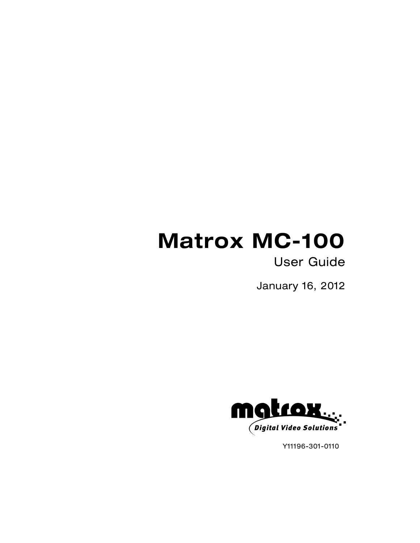# **Matrox MC-100**

# User Guide

January 16, 2012



Y11196-301-0110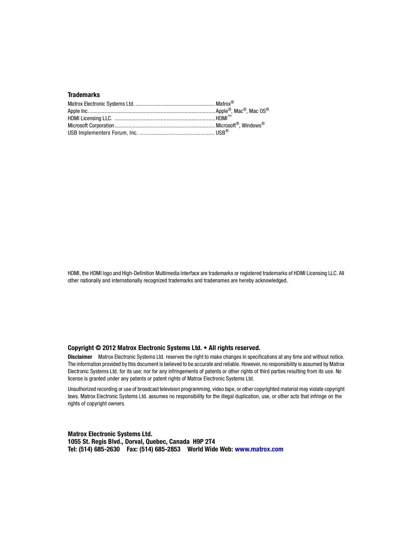#### **Trademarks**

HDMI, the HDMI logo and High-Definition Multimedia Interface are trademarks or registered trademarks of HDMI Licensing LLC. All other nationally and internationally recognized trademarks and tradenames are hereby acknowledged.

#### **Copyright © 2012 Matrox Electronic Systems Ltd. • All rights reserved.**

**Disclaimer** Matrox Electronic Systems Ltd. reserves the right to make changes in specifications at any time and without notice. The information provided by this document is believed to be accurate and reliable. However, no responsibility is assumed by Matrox Electronic Systems Ltd. for its use; nor for any infringements of patents or other rights of third parties resulting from its use. No license is granted under any patents or patent rights of Matrox Electronic Systems Ltd.

Unauthorized recording or use of broadcast television programming, video tape, or other copyrighted material may violate copyright laws. Matrox Electronic Systems Ltd. assumes no responsibility for the illegal duplication, use, or other acts that infringe on the rights of copyright owners.

**Matrox Electronic Systems Ltd. 1055 St. Regis Blvd., Dorval, Quebec, Canada H9P 2T4 Tel: (514) 685-2630 Fax: (514) 685-2853 World Wide Web: <www.matrox.com>**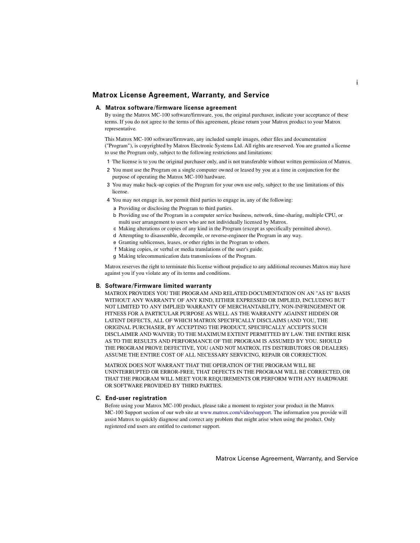#### <span id="page-2-1"></span>**Matrox License Agreement, Warranty, and Service**

#### **A. Matrox software/firmware license agreement**

<span id="page-2-0"></span>By using the Matrox MC-100 software/firmware, you, the original purchaser, indicate your acceptance of these terms. If you do not agree to the terms of this agreement, please return your Matrox product to your Matrox representative.

This Matrox MC-100 software/firmware, any included sample images, other files and documentation ("Program"), is copyrighted by Matrox Electronic Systems Ltd. All rights are reserved. You are granted a license to use the Program only, subject to the following restrictions and limitations:

- 1 The license is to you the original purchaser only, and is not transferable without written permission of Matrox.
- 2 You must use the Program on a single computer owned or leased by you at a time in conjunction for the purpose of operating the Matrox MC-100 hardware.
- 3 You may make back-up copies of the Program for your own use only, subject to the use limitations of this license.
- 4 You may not engage in, nor permit third parties to engage in, any of the following:
	- a Providing or disclosing the Program to third parties.
	- b Providing use of the Program in a computer service business, network, time-sharing, multiple CPU, or multi user arrangement to users who are not individually licensed by Matrox.
	- c Making alterations or copies of any kind in the Program (except as specifically permitted above).
	- d Attempting to disassemble, decompile, or reverse-engineer the Program in any way.
	- e Granting sublicenses, leases, or other rights in the Program to others.
	- f Making copies, or verbal or media translations of the user's guide.
	- g Making telecommunication data transmissions of the Program.

Matrox reserves the right to terminate this license without prejudice to any additional recourses Matrox may have against you if you violate any of its terms and conditions.

#### **B. Software/Firmware limited warranty**

MATROX PROVIDES YOU THE PROGRAM AND RELATED DOCUMENTATION ON AN "AS IS" BASIS WITHOUT ANY WARRANTY OF ANY KIND, EITHER EXPRESSED OR IMPLIED, INCLUDING BUT NOT LIMITED TO ANY IMPLIED WARRANTY OF MERCHANTABILITY, NON-INFRINGEMENT OR FITNESS FOR A PARTICULAR PURPOSE AS WELL AS THE WARRANTY AGAINST HIDDEN OR LATENT DEFECTS, ALL OF WHICH MATROX SPECIFICALLY DISCLAIMS (AND YOU, THE ORIGINAL PURCHASER, BY ACCEPTING THE PRODUCT, SPECIFICALLY ACCEPTS SUCH DISCLAIMER AND WAIVER) TO THE MAXIMUM EXTENT PERMITTED BY LAW. THE ENTIRE RISK AS TO THE RESULTS AND PERFORMANCE OF THE PROGRAM IS ASSUMED BY YOU. SHOULD THE PROGRAM PROVE DEFECTIVE, YOU (AND NOT MATROX, ITS DISTRIBUTORS OR DEALERS) ASSUME THE ENTIRE COST OF ALL NECESSARY SERVICING, REPAIR OR CORRECTION.

MATROX DOES NOT WARRANT THAT THE OPERATION OF THE PROGRAM WILL BE UNINTERRUPTED OR ERROR-FREE, THAT DEFECTS IN THE PROGRAM WILL BE CORRECTED, OR THAT THE PROGRAM WILL MEET YOUR REQUIREMENTS OR PERFORM WITH ANY HARDWARE OR SOFTWARE PROVIDED BY THIRD PARTIES.

#### **C. End-user registration**

Before using your Matrox MC-100 product, please take a moment to register your product in the Matrox MC-100 Support section of our web site at [www.matrox.com/video/support](http://www.matrox.com/video/support). The information you provide will assist Matrox to quickly diagnose and correct any problem that might arise when using the product. Only registered end users are entitled to customer support.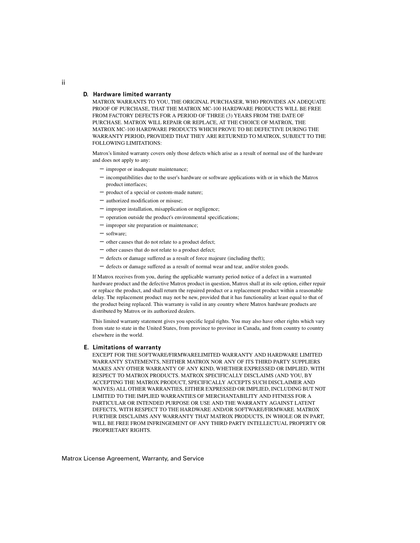#### **D. Hardware limited warranty**

MATROX WARRANTS TO YOU, THE ORIGINAL PURCHASER, WHO PROVIDES AN ADEQUATE PROOF OF PURCHASE, THAT THE MATROX MC-100 HARDWARE PRODUCTS WILL BE FREE FROM FACTORY DEFECTS FOR A PERIOD OF THREE (3) YEARS FROM THE DATE OF PURCHASE. MATROX WILL REPAIR OR REPLACE, AT THE CHOICE OF MATROX, THE MATROX MC-100 HARDWARE PRODUCTS WHICH PROVE TO BE DEFECTIVE DURING THE WARRANTY PERIOD, PROVIDED THAT THEY ARE RETURNED TO MATROX, SUBJECT TO THE FOLLOWING LIMITATIONS:

Matrox's limited warranty covers only those defects which arise as a result of normal use of the hardware and does not apply to any:

- $-$  improper or inadequate maintenance;
- $-$  incompatibilities due to the user's hardware or software applications with or in which the Matrox product interfaces;
- product of a special or custom-made nature;
- authorized modification or misuse;
- $-$  improper installation, misapplication or negligence;
- operation outside the product's environmental specifications;
- $-$  improper site preparation or maintenance;
- $-$  software;
- $-$  other causes that do not relate to a product defect;
- $-$  other causes that do not relate to a product defect;
- $-$  defects or damage suffered as a result of force majeure (including theft);
- $-$  defects or damage suffered as a result of normal wear and tear, and/or stolen goods.

If Matrox receives from you, during the applicable warranty period notice of a defect in a warranted hardware product and the defective Matrox product in question, Matrox shall at its sole option, either repair or replace the product, and shall return the repaired product or a replacement product within a reasonable delay. The replacement product may not be new, provided that it has functionality at least equal to that of the product being replaced. This warranty is valid in any country where Matrox hardware products are distributed by Matrox or its authorized dealers.

This limited warranty statement gives you specific legal rights. You may also have other rights which vary from state to state in the United States, from province to province in Canada, and from country to country elsewhere in the world.

#### **E. Limitations of warranty**

EXCEPT FOR THE SOFTWARE/FIRMWARELIMITED WARRANTY AND HARDWARE LIMITED WARRANTY STATEMENTS, NEITHER MATROX NOR ANY OF ITS THIRD PARTY SUPPLIERS MAKES ANY OTHER WARRANTY OF ANY KIND, WHETHER EXPRESSED OR IMPLIED, WITH RESPECT TO MATROX PRODUCTS. MATROX SPECIFICALLY DISCLAIMS (AND YOU, BY ACCEPTING THE MATROX PRODUCT, SPECIFICALLY ACCEPTS SUCH DISCLAIMER AND WAIVES) ALL OTHER WARRANTIES, EITHER EXPRESSED OR IMPLIED, INCLUDING BUT NOT LIMITED TO THE IMPLIED WARRANTIES OF MERCHANTABILITY AND FITNESS FOR A PARTICULAR OR INTENDED PURPOSE OR USE AND THE WARRANTY AGAINST LATENT DEFECTS, WITH RESPECT TO THE HARDWARE AND/OR SOFTWARE/FIRMWARE. MATROX FURTHER DISCLAIMS ANY WARRANTY THAT MATROX PRODUCTS, IN WHOLE OR IN PART, WILL BE FREE FROM INFRINGEMENT OF ANY THIRD PARTY INTELLECTUAL PROPERTY OR PROPRIETARY RIGHTS.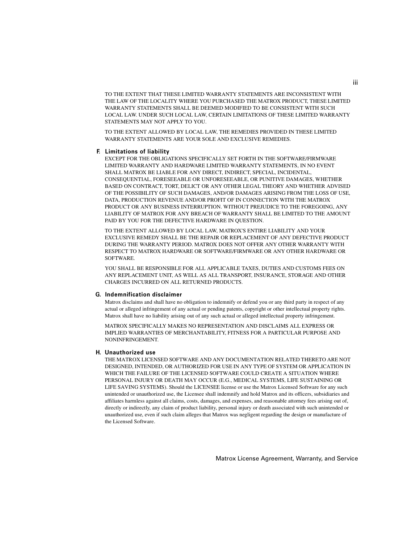TO THE EXTENT THAT THESE LIMITED WARRANTY STATEMENTS ARE INCONSISTENT WITH THE LAW OF THE LOCALITY WHERE YOU PURCHASED THE MATROX PRODUCT, THESE LIMITED WARRANTY STATEMENTS SHALL BE DEEMED MODIFIED TO BE CONSISTENT WITH SUCH LOCAL LAW. UNDER SUCH LOCAL LAW, CERTAIN LIMITATIONS OF THESE LIMITED WARRANTY STATEMENTS MAY NOT APPLY TO YOU.

TO THE EXTENT ALLOWED BY LOCAL LAW, THE REMEDIES PROVIDED IN THESE LIMITED WARRANTY STATEMENTS ARE YOUR SOLE AND EXCLUSIVE REMEDIES.

#### **F. Limitations of liability**

EXCEPT FOR THE OBLIGATIONS SPECIFICALLY SET FORTH IN THE SOFTWARE/FIRMWARE LIMITED WARRANTY AND HARDWARE LIMITED WARRANTY STATEMENTS, IN NO EVENT SHALL MATROX BE LIABLE FOR ANY DIRECT, INDIRECT, SPECIAL, INCIDENTAL, CONSEQUENTIAL, FORESEEABLE OR UNFORESEEABLE, OR PUNITIVE DAMAGES, WHETHER BASED ON CONTRACT, TORT, DELICT OR ANY OTHER LEGAL THEORY AND WHETHER ADVISED OF THE POSSIBILITY OF SUCH DAMAGES, AND/OR DAMAGES ARISING FROM THE LOSS OF USE, DATA, PRODUCTION REVENUE AND/OR PROFIT OF IN CONNECTION WITH THE MATROX PRODUCT OR ANY BUSINESS INTERRUPTION. WITHOUT PREJUDICE TO THE FOREGOING, ANY LIABILITY OF MATROX FOR ANY BREACH OF WARRANTY SHALL BE LIMITED TO THE AMOUNT PAID BY YOU FOR THE DEFECTIVE HARDWARE IN QUESTION.

TO THE EXTENT ALLOWED BY LOCAL LAW, MATROX'S ENTIRE LIABILITY AND YOUR EXCLUSIVE REMEDY SHALL BE THE REPAIR OR REPLACEMENT OF ANY DEFECTIVE PRODUCT DURING THE WARRANTY PERIOD. MATROX DOES NOT OFFER ANY OTHER WARRANTY WITH RESPECT TO MATROX HARDWARE OR SOFTWARE/FIRMWARE OR ANY OTHER HARDWARE OR SOFTWARE.

YOU SHALL BE RESPONSIBLE FOR ALL APPLICABLE TAXES, DUTIES AND CUSTOMS FEES ON ANY REPLACEMENT UNIT, AS WELL AS ALL TRANSPORT, INSURANCE, STORAGE AND OTHER CHARGES INCURRED ON ALL RETURNED PRODUCTS.

#### **G. Indemnification disclaimer**

Matrox disclaims and shall have no obligation to indemnify or defend you or any third party in respect of any actual or alleged infringement of any actual or pending patents, copyright or other intellectual property rights. Matrox shall have no liability arising out of any such actual or alleged intellectual property infringement.

MATROX SPECIFICALLY MAKES NO REPRESENTATION AND DISCLAIMS ALL EXPRESS OR IMPLIED WARRANTIES OF MERCHANTABILITY, FITNESS FOR A PARTICULAR PURPOSE AND NONINFRINGEMENT.

#### **H. Unauthorized use**

THE MATROX LICENSED SOFTWARE AND ANY DOCUMENTATION RELATED THERETO ARE NOT DESIGNED, INTENDED, OR AUTHORIZED FOR USE IN ANY TYPE OF SYSTEM OR APPLICATION IN WHICH THE FAILURE OF THE LICENSED SOFTWARE COULD CREATE A SITUATION WHERE PERSONAL INJURY OR DEATH MAY OCCUR (E.G., MEDICAL SYSTEMS, LIFE SUSTAINING OR LIFE SAVING SYSTEMS). Should the LICENSEE license or use the Matrox Licensed Software for any such unintended or unauthorized use, the Licensee shall indemnify and hold Matrox and its officers, subsidiaries and affiliates harmless against all claims, costs, damages, and expenses, and reasonable attorney fees arising out of, directly or indirectly, any claim of product liability, personal injury or death associated with such unintended or unauthorized use, even if such claim alleges that Matrox was negligent regarding the design or manufacture of the Licensed Software.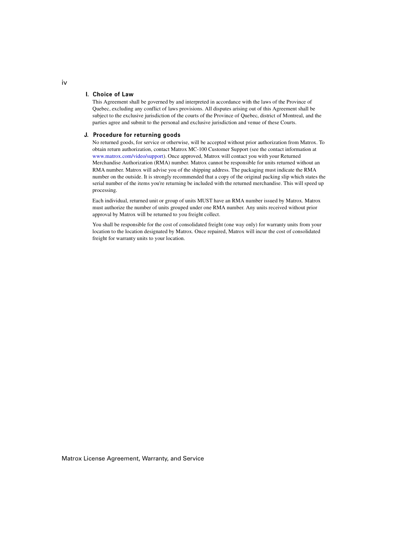#### **I. Choice of Law**

This Agreement shall be governed by and interpreted in accordance with the laws of the Province of Quebec, excluding any conflict of laws provisions. All disputes arising out of this Agreement shall be subject to the exclusive jurisdiction of the courts of the Province of Quebec, district of Montreal, and the parties agree and submit to the personal and exclusive jurisdiction and venue of these Courts.

#### **J. Procedure for returning goods**

<span id="page-5-0"></span>No returned goods, for service or otherwise, will be accepted without prior authorization from Matrox. To obtain return authorization, contact Matrox MC-100 Customer Support (see the contact information at [www.matrox.com/video/support](http://www.matrox.com/video/support)). Once approved, Matrox will contact you with your Returned Merchandise Authorization (RMA) number. Matrox cannot be responsible for units returned without an RMA number. Matrox will advise you of the shipping address. The packaging must indicate the RMA number on the outside. It is strongly recommended that a copy of the original packing slip which states the serial number of the items you're returning be included with the returned merchandise. This will speed up processing.

Each individual, returned unit or group of units MUST have an RMA number issued by Matrox. Matrox must authorize the number of units grouped under one RMA number. Any units received without prior approval by Matrox will be returned to you freight collect.

You shall be responsible for the cost of consolidated freight (one way only) for warranty units from your location to the location designated by Matrox. Once repaired, Matrox will incur the cost of consolidated freight for warranty units to your location.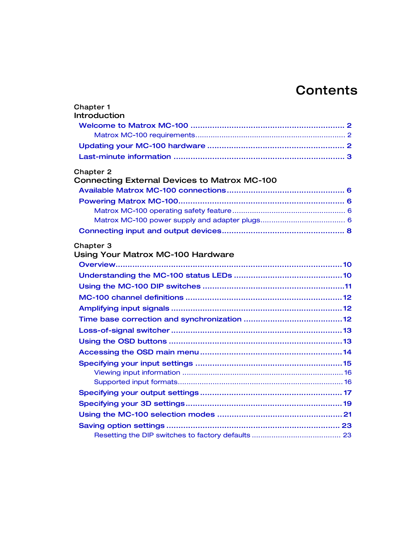# **Contents**

| <b>Chapter 1</b><br>Introduction                    |  |
|-----------------------------------------------------|--|
|                                                     |  |
|                                                     |  |
|                                                     |  |
|                                                     |  |
| <b>Chapter 2</b>                                    |  |
| <b>Connecting External Devices to Matrox MC-100</b> |  |
|                                                     |  |
|                                                     |  |
|                                                     |  |
|                                                     |  |
|                                                     |  |
| Chapter 3                                           |  |
| <b>Using Your Matrox MC-100 Hardware</b>            |  |
|                                                     |  |
|                                                     |  |
|                                                     |  |
|                                                     |  |
|                                                     |  |
|                                                     |  |
|                                                     |  |
|                                                     |  |
|                                                     |  |
|                                                     |  |
|                                                     |  |
|                                                     |  |
|                                                     |  |
|                                                     |  |
|                                                     |  |
|                                                     |  |
|                                                     |  |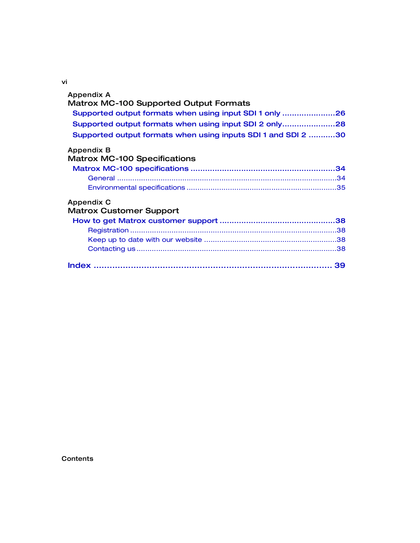vi

| Appendix A                                                    |
|---------------------------------------------------------------|
| <b>Matrox MC-100 Supported Output Formats</b>                 |
| Supported output formats when using input SDI 1 only 26       |
| Supported output formats when using input SDI 2 only28        |
| Supported output formats when using inputs SDI 1 and SDI 2 30 |
| Appendix B                                                    |
| <b>Matrox MC-100 Specifications</b>                           |
|                                                               |
|                                                               |
|                                                               |
| Appendix C                                                    |
| <b>Matrox Customer Support</b>                                |
|                                                               |
|                                                               |
|                                                               |
|                                                               |
|                                                               |
|                                                               |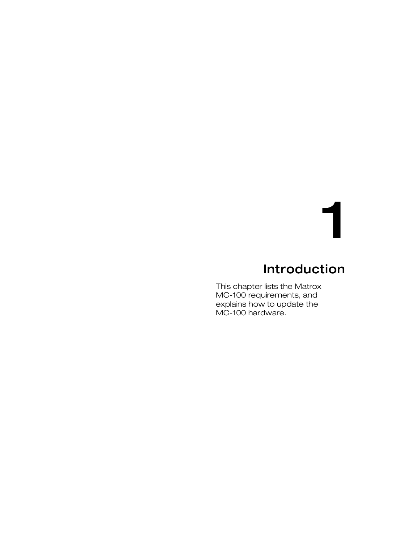# 1

# Introduction

<span id="page-8-1"></span><span id="page-8-0"></span>This chapter lists the Matrox MC-100 requirements, and explains how to update the MC-100 hardware.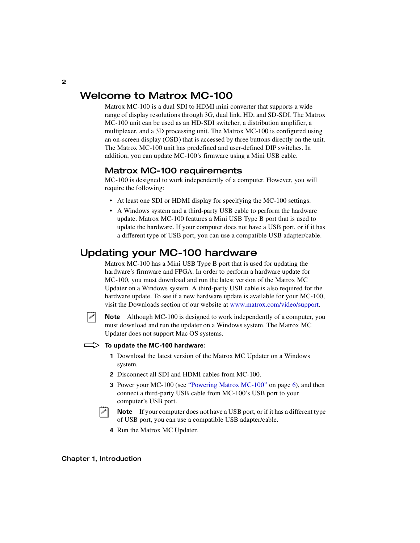## <span id="page-9-0"></span>Welcome to Matrox MC-100

<span id="page-9-5"></span>Matrox MC-100 is a dual SDI to HDMI mini converter that supports a wide range of display resolutions through 3G, dual link, HD, and SD-SDI. The Matrox MC-100 unit can be used as an HD-SDI switcher, a distribution amplifier, a multiplexer, and a 3D processing unit. The Matrox MC-100 is configured using an on-screen display (OSD) that is accessed by three buttons directly on the unit. The Matrox MC-100 unit has predefined and user-defined DIP switches. In addition, you can update MC-100's firmware using a Mini USB cable.

## <span id="page-9-1"></span>Matrox MC-100 requirements

<span id="page-9-6"></span>MC-100 is designed to work independently of a computer. However, you will require the following:

- At least one SDI or HDMI display for specifying the MC-100 settings.
- A Windows system and a third-party USB cable to perform the hardware update. Matrox MC-100 features a Mini USB Type B port that is used to update the hardware. If your computer does not have a USB port, or if it has a different type of USB port, you can use a compatible USB adapter/cable.

## <span id="page-9-3"></span><span id="page-9-2"></span>Updating your MC-100 hardware

<span id="page-9-4"></span>Matrox MC-100 has a Mini USB Type B port that is used for updating the hardware's firmware and FPGA. In order to perform a hardware update for MC-100, you must download and run the latest version of the Matrox MC Updater on a Windows system. A third-party USB cable is also required for the hardware update. To see if a new hardware update is available for your MC-100, visit the Downloads section of our website at [www.matrox.com/video/support.](http://www.matrox.com/video/support)

**Note** Although MC-100 is designed to work independently of a computer, you must download and run the updater on a Windows system. The Matrox MC Updater does not support Mac OS systems.

#### To update the MC-100 hardware:

- **1** Download the latest version of the Matrox MC Updater on a Windows system.
- **2** Disconnect all SDI and HDMI cables from MC-100.
- **3** Power your MC-100 (see ["Powering Matrox MC-100" on page](#page-13-4) 6), and then connect a third-party USB cable from MC-100's USB port to your computer's USB port.
- $\infty$  Note If your computer does not have a USB port, or if it has a different type of USB port, you can use a compatible USB adapter/cable.
	- **4** Run the Matrox MC Updater.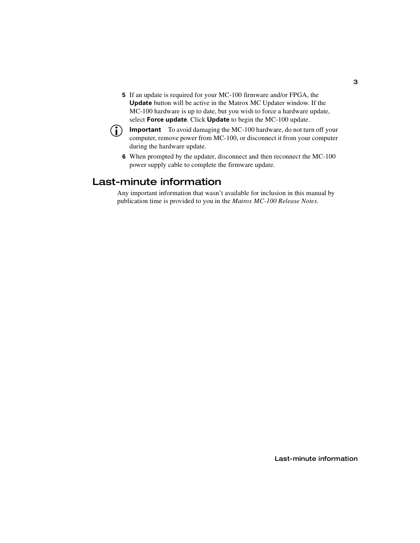**5** If an update is required for your MC-100 firmware and/or FPGA, the **Update** button will be active in the Matrox MC Updater window. If the MC-100 hardware is up to date, but you wish to force a hardware update, select **Force update**. Click **Update** to begin the MC-100 update.



 $\binom{?}{!}$  Important To avoid damaging the MC-100 hardware, do not turn off your computer, remove power from MC-100, or disconnect it from your computer during the hardware update.

**6** When prompted by the updater, disconnect and then reconnect the MC-100 power supply cable to complete the firmware update.

## <span id="page-10-0"></span>Last-minute information

Any important information that wasn't available for inclusion in this manual by publication time is provided to you in the *Matrox MC-100 Release Notes*.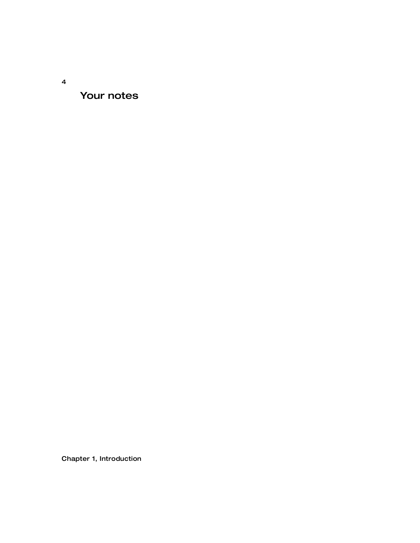Your notes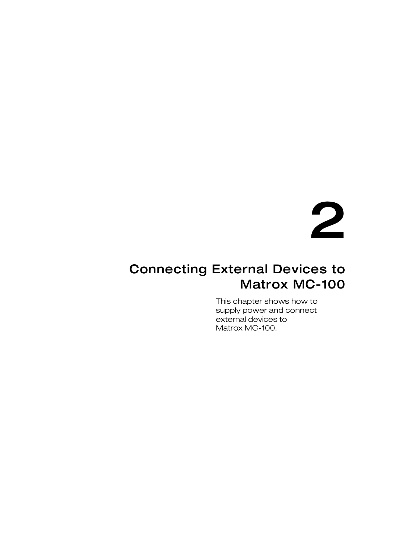# 2

## <span id="page-12-1"></span><span id="page-12-0"></span>Connecting External Devices to Matrox MC-100

This chapter shows how to supply power and connect external devices to Matrox MC-100.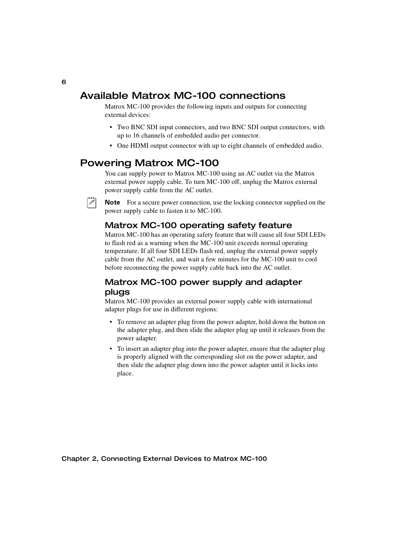## <span id="page-13-0"></span>Available Matrox MC-100 connections

Matrox MC-100 provides the following inputs and outputs for connecting external devices:

- <span id="page-13-8"></span>• Two BNC SDI input connectors, and two BNC SDI output connectors, with up to 16 channels of embedded audio per connector.
- <span id="page-13-6"></span>• One HDMI output connector with up to eight channels of embedded audio.

## <span id="page-13-4"></span><span id="page-13-1"></span>Powering Matrox MC-100

You can supply power to Matrox MC-100 using an AC outlet via the Matrox external power supply cable. To turn MC-100 off, unplug the Matrox external power supply cable from the AC outlet.

 $\mathscr{P}$  Note For a secure power connection, use the locking connector supplied on the power supply cable to fasten it to MC-100.

## <span id="page-13-9"></span><span id="page-13-5"></span><span id="page-13-2"></span>Matrox MC-100 operating safety feature

Matrox MC-100 has an operating safety feature that will cause all four SDI LEDs to flash red as a warning when the MC-100 unit exceeds normal operating temperature. If all four SDI LEDs flash red, unplug the external power supply cable from the AC outlet, and wait a few minutes for the MC-100 unit to cool before reconnecting the power supply cable back into the AC outlet.

## <span id="page-13-3"></span>Matrox MC-100 power supply and adapter plugs

<span id="page-13-7"></span>Matrox MC-100 provides an external power supply cable with international adapter plugs for use in different regions:

- To remove an adapter plug from the power adapter, hold down the button on the adapter plug, and then slide the adapter plug up until it releases from the power adapter.
- To insert an adapter plug into the power adapter, ensure that the adapter plug is properly aligned with the corresponding slot on the power adapter, and then slide the adapter plug down into the power adapter until it locks into place.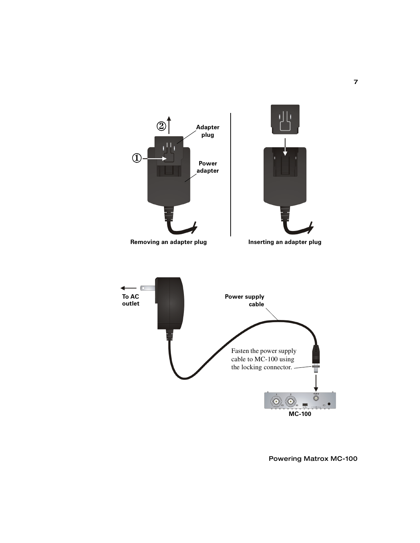

7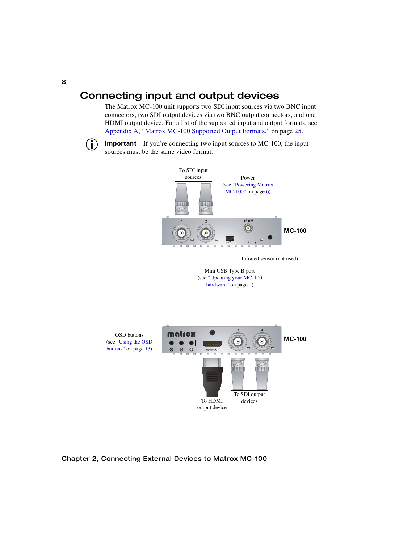## <span id="page-15-1"></span><span id="page-15-0"></span>Connecting input and output devices

<span id="page-15-4"></span><span id="page-15-2"></span>The Matrox MC-100 unit supports two SDI input sources via two BNC input connectors, two SDI output devices via two BNC output connectors, and one HDMI output device. For a list of the supported input and output formats, see [Appendix A, "Matrox MC-100 Supported Output Formats," on page](#page-32-2) 25.

<span id="page-15-3"></span>**Important** If you're connecting two input sources to MC-100, the input sources must be the same video format.

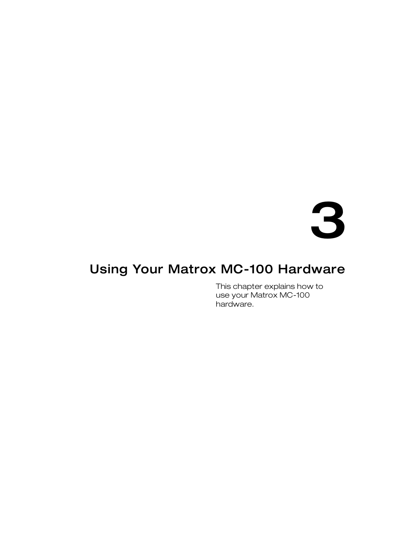# 3

# <span id="page-16-1"></span><span id="page-16-0"></span>Using Your Matrox MC-100 Hardware

This chapter explains how to use your Matrox MC-100 hardware.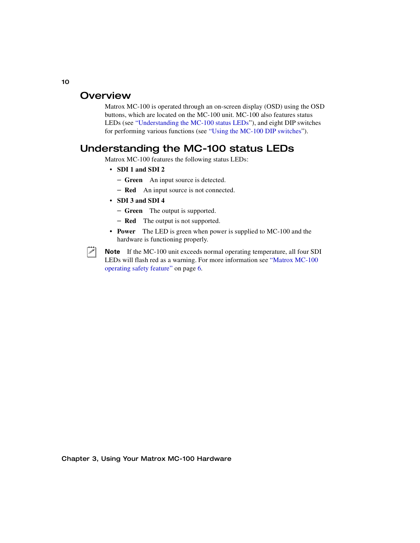## <span id="page-17-0"></span>**Overview**

<span id="page-17-3"></span>Matrox MC-100 is operated through an on-screen display (OSD) using the OSD buttons, which are located on the MC-100 unit. MC-100 also features status LEDs (see ["Understanding the MC-100 status LEDs"](#page-17-1)), and eight DIP switches for performing various functions (see ["Using the MC-100 DIP switches](#page-18-0)").

## <span id="page-17-1"></span>Understanding the MC-100 status LEDs

Matrox MC-100 features the following status LEDs:

- <span id="page-17-2"></span>• **SDI 1 and SDI 2**
	- **Green** An input source is detected.
	- **Red** An input source is not connected.
- **SDI 3 and SDI 4**
	- **Green** The output is supported.
	- **Red** The output is not supported.
- **Power** The LED is green when power is supplied to MC-100 and the hardware is functioning properly.



Note If the MC-100 unit exceeds normal operating temperature, all four SDI LEDs will flash red as a warning. For more information see ["Matrox MC-100](#page-13-5)  [operating safety feature" on page](#page-13-5) 6.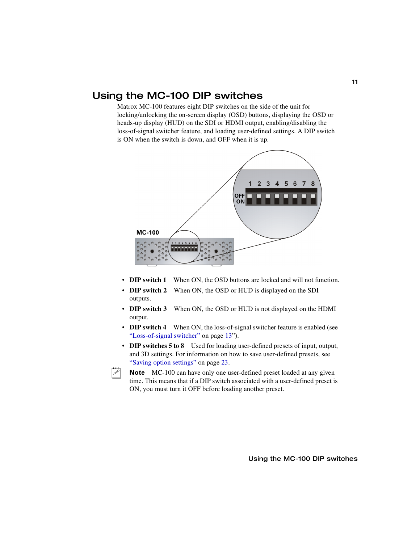## <span id="page-18-1"></span><span id="page-18-0"></span>Using the MC-100 DIP switches

<span id="page-18-2"></span>Matrox MC-100 features eight DIP switches on the side of the unit for locking/unlocking the on-screen display (OSD) buttons, displaying the OSD or heads-up display (HUD) on the SDI or HDMI output, enabling/disabling the loss-of-signal switcher feature, and loading user-defined settings. A DIP switch is ON when the switch is down, and OFF when it is up.



- <span id="page-18-9"></span><span id="page-18-8"></span><span id="page-18-7"></span><span id="page-18-5"></span>• **DIP switch 1** When ON, the OSD buttons are locked and will not function.
- **DIP switch 2** When ON, the OSD or HUD is displayed on the SDI outputs.
- <span id="page-18-10"></span><span id="page-18-6"></span>• **DIP switch 3** When ON, the OSD or HUD is not displayed on the HDMI output.
- <span id="page-18-3"></span>• **DIP switch 4** When ON, the loss-of-signal switcher feature is enabled (see ["Loss-of-signal switcher" on page](#page-20-0) 13").
- <span id="page-18-4"></span>• **DIP switches 5 to 8** Used for loading user-defined presets of input, output, and 3D settings. For information on how to save user-defined presets, see ["Saving option settings" on page](#page-30-0) 23.



 $|\triangle|$  Note MC-100 can have only one user-defined preset loaded at any given time. This means that if a DIP switch associated with a user-defined preset is ON, you must turn it OFF before loading another preset.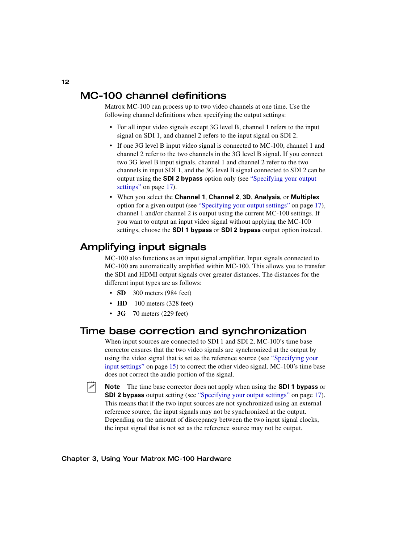## <span id="page-19-0"></span>MC-100 channel definitions

Matrox MC-100 can process up to two video channels at one time. Use the following channel definitions when specifying the output settings:

- <span id="page-19-3"></span>• For all input video signals except 3G level B, channel 1 refers to the input signal on SDI 1, and channel 2 refers to the input signal on SDI 2.
- If one 3G level B input video signal is connected to MC-100, channel 1 and channel 2 refer to the two channels in the 3G level B signal. If you connect two 3G level B input signals, channel 1 and channel 2 refer to the two channels in input SDI 1, and the 3G level B signal connected to SDI 2 can be output using the **SDI 2 bypass** option only (see ["Specifying your output](#page-24-0)  [settings" on page](#page-24-0) 17).
- When you select the **Channel 1**, **Channel 2**, **3D**, **Analysis**, or **Multiplex** option for a given output (see ["Specifying your output settings" on page](#page-24-0) 17), channel 1 and/or channel 2 is output using the current MC-100 settings. If you want to output an input video signal without applying the MC-100 settings, choose the **SDI 1 bypass** or **SDI 2 bypass** output option instead.

## <span id="page-19-1"></span>Amplifying input signals

MC-100 also functions as an input signal amplifier. Input signals connected to MC-100 are automatically amplified within MC-100. This allows you to transfer the SDI and HDMI output signals over greater distances. The distances for the different input types are as follows:

- **SD** 300 meters (984 feet)
- **HD** 100 meters (328 feet)
- <span id="page-19-4"></span>• **3G** 70 meters (229 feet)

## <span id="page-19-2"></span>Time base correction and synchronization

When input sources are connected to SDI 1 and SDI 2, MC-100's time base corrector ensures that the two video signals are synchronized at the output by using the video signal that is set as the reference source (see ["Specifying your](#page-22-0)  [input settings" on page](#page-22-0) 15) to correct the other video signal. MC-100's time base does not correct the audio portion of the signal.

¦ Note The time base corrector does not apply when using the **SDI 1 bypass** or **SDI 2 bypass** output setting (see ["Specifying your output settings" on page](#page-24-0) 17). This means that if the two input sources are not synchronized using an external reference source, the input signals may not be synchronized at the output. Depending on the amount of discrepancy between the two input signal clocks, the input signal that is not set as the reference source may not be output.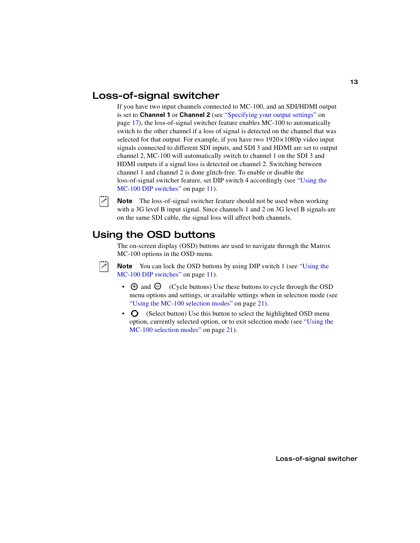## <span id="page-20-0"></span>Loss-of-signal switcher

<span id="page-20-3"></span>If you have two input channels connected to MC-100, and an SDI/HDMI output is set to **Channel 1** or **Channel 2** (see ["Specifying your output settings" on](#page-24-0)  [page](#page-24-0) 17), the loss-of-signal switcher feature enables MC-100 to automatically switch to the other channel if a loss of signal is detected on the channel that was selected for that output. For example, if you have two  $1920 \times 1080p$  video input signals connected to different SDI inputs, and SDI 3 and HDMI are set to output channel 2, MC-100 will automatically switch to channel 1 on the SDI 3 and HDMI outputs if a signal loss is detected on channel 2. Switching between channel 1 and channel 2 is done glitch-free. To enable or disable the loss-of-signal switcher feature, set DIP switch 4 accordingly (see ["Using the](#page-18-0)  [MC-100 DIP switches" on page](#page-18-0) 11).

 $\mathcal{P}$  Note The loss-of-signal switcher feature should not be used when working with a 3G level B input signal. Since channels 1 and 2 on 3G level B signals are on the same SDI cable, the signal loss will affect both channels.

## <span id="page-20-2"></span><span id="page-20-1"></span>Using the OSD buttons

<span id="page-20-4"></span>The on-screen display (OSD) buttons are used to navigate through the Matrox MC-100 options in the OSD menu.

**Note** You can lock the OSD buttons by using DIP switch 1 (see "Using the [MC-100 DIP switches" on page](#page-18-0) 11).

- $\cdot$   $\oplus$  and  $\ominus$  (Cycle buttons) Use these buttons to cycle through the OSD menu options and settings, or available settings when in selection mode (see ["Using the MC-100 selection modes" on page](#page-28-0) 21).
- $\bullet$  (Select button) Use this button to select the highlighted OSD menu option, currently selected option, or to exit selection mode (see ["Using the](#page-28-0)  [MC-100 selection modes" on page](#page-28-0) 21).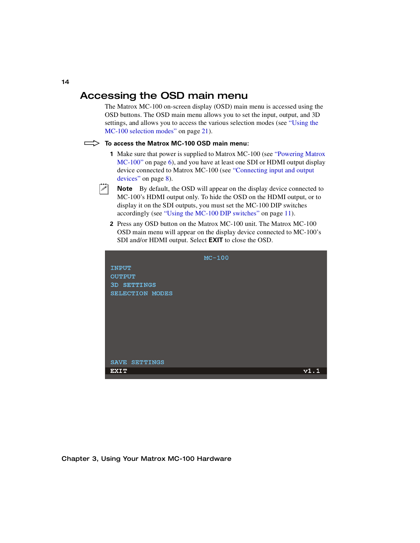## <span id="page-21-0"></span>Accessing the OSD main menu

The Matrox MC-100 on-screen display (OSD) main menu is accessed using the OSD buttons. The OSD main menu allows you to set the input, output, and 3D settings, and allows you to access the various selection modes (see ["Using the](#page-28-0)  [MC-100 selection modes" on page](#page-28-0) 21).

#### $\implies$  To access the Matrox MC-100 OSD main menu:

<span id="page-21-1"></span>**1** Make sure that power is supplied to Matrox MC-100 (see ["Powering Matrox](#page-13-4)  [MC-100" on page](#page-13-4) 6), and you have at least one SDI or HDMI output display device connected to Matrox MC-100 (see ["Connecting input and output](#page-15-1)  [devices" on page](#page-15-1) 8).



**Note** By default, the OSD will appear on the display device connected to MC-100's HDMI output only. To hide the OSD on the HDMI output, or to display it on the SDI outputs, you must set the MC-100 DIP switches accordingly (see ["Using the MC-100 DIP switches" on page](#page-18-0) 11).

**2** Press any OSD button on the Matrox MC-100 unit. The Matrox MC-100 OSD main menu will appear on the display device connected to MC-100's SDI and/or HDMI output. Select **EXIT** to close the OSD.

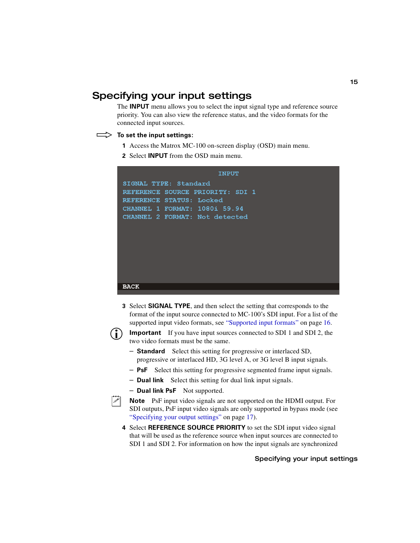## <span id="page-22-0"></span>Specifying your input settings

The **INPUT** menu allows you to select the input signal type and reference source priority. You can also view the reference status, and the video formats for the connected input sources.

#### $\implies$  To set the input settings:

- <span id="page-22-1"></span>**1** Access the Matrox MC-100 on-screen display (OSD) main menu.
- **2** Select **INPUT** from the OSD main menu.



- <span id="page-22-3"></span>**3** Select **SIGNAL TYPE**, and then select the setting that corresponds to the format of the input source connected to MC-100's SDI input. For a list of the supported input video formats, see ["Supported input formats" on page](#page-23-1) 16.
- 

 $\binom{1}{1}$  **Important** If you have input sources connected to SDI 1 and SDI 2, the two video formats must be the same.

- $-$  **Standard** Select this setting for progressive or interlaced SD, progressive or interlaced HD, 3G level A, or 3G level B input signals.
- **PsF** Select this setting for progressive segmented frame input signals.
- **Dual link** Select this setting for dual link input signals.
- **Dual link PsF** Not supported.



<span id="page-22-2"></span>**Note** PsF input video signals are not supported on the HDMI output. For SDI outputs, PsF input video signals are only supported in bypass mode (see ["Specifying your output settings" on page](#page-24-0) 17).

**4** Select **REFERENCE SOURCE PRIORITY** to set the SDI input video signal that will be used as the reference source when input sources are connected to SDI 1 and SDI 2. For information on how the input signals are synchronized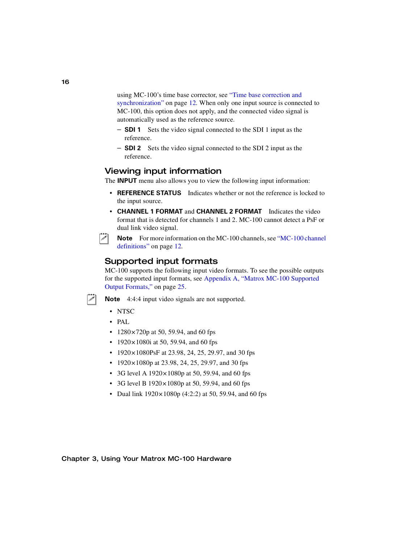using MC-100's time base corrector, see ["Time base correction and](#page-19-2)  [synchronization" on page](#page-19-2) 12. When only one input source is connected to MC-100, this option does not apply, and the connected video signal is automatically used as the reference source.

- **SDI 1** Sets the video signal connected to the SDI 1 input as the reference.
- <span id="page-23-3"></span>- **SDI 2** Sets the video signal connected to the SDI 2 input as the reference.

## <span id="page-23-0"></span>Viewing input information

The **INPUT** menu also allows you to view the following input information:

- **REFERENCE STATUS** Indicates whether or not the reference is locked to the input source.
- **CHANNEL 1 FORMAT** and **CHANNEL 2 FORMAT** Indicates the video format that is detected for channels 1 and 2. MC-100 cannot detect a PsF or dual link video signal.

 $\mathscr{P}$  Note For more information on the MC-100 channels, see "MC-100 channel" [definitions" on page](#page-19-0) 12.

## <span id="page-23-1"></span>Supported input formats

<span id="page-23-2"></span>MC-100 supports the following input video formats. To see the possible outputs for the supported input formats, see [Appendix A, "Matrox MC-100 Supported](#page-32-2)  [Output Formats," on page](#page-32-2) 25.

**Note** 4:4:4 input video signals are not supported.

- NTSC
- PAL
- 1280 $\times$ 720p at 50, 59.94, and 60 fps
- 1920 $\times$ 1080i at 50, 59.94, and 60 fps
- 1920 $\times$ 1080PsF at 23.98, 24, 25, 29.97, and 30 fps
- 1920 $\times$ 1080p at 23.98, 24, 25, 29.97, and 30 fps
- 3G level A 1920 $\times$ 1080p at 50, 59.94, and 60 fps
- 3G level B  $1920 \times 1080p$  at 50, 59.94, and 60 fps
- Dual link  $1920 \times 1080p$  (4:2:2) at 50, 59.94, and 60 fps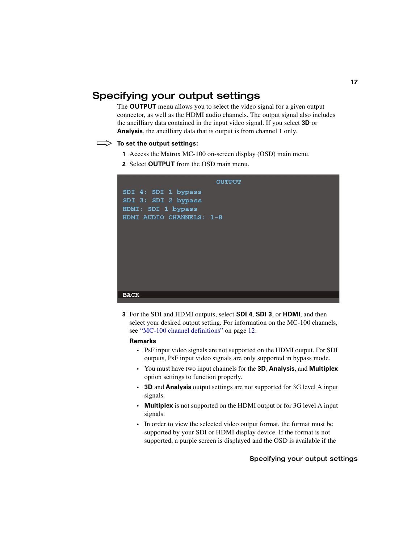## <span id="page-24-2"></span><span id="page-24-0"></span>Specifying your output settings

The **OUTPUT** menu allows you to select the video signal for a given output connector, as well as the HDMI audio channels. The output signal also includes the ancilliary data contained in the input video signal. If you select **3D** or **Analysis**, the ancilliary data that is output is from channel 1 only.

#### $\implies$  To set the output settings:

- <span id="page-24-3"></span>**1** Access the Matrox MC-100 on-screen display (OSD) main menu.
- **2** Select **OUTPUT** from the OSD main menu.



<span id="page-24-1"></span>**3** For the SDI and HDMI outputs, select **SDI 4**, **SDI 3**, or **HDMI**, and then select your desired output setting. For information on the MC-100 channels, see ["MC-100 channel definitions" on page](#page-19-0) 12.

#### **Remarks**

- PsF input video signals are not supported on the HDMI output. For SDI outputs, PsF input video signals are only supported in bypass mode.
- You must have two input channels for the **3D**, **Analysis**, and **Multiplex** option settings to function properly.
- **3D** and **Analysis** output settings are not supported for 3G level A input signals.
- **Multiplex** is not supported on the HDMI output or for 3G level A input signals.
- In order to view the selected video output format, the format must be supported by your SDI or HDMI display device. If the format is not supported, a purple screen is displayed and the OSD is available if the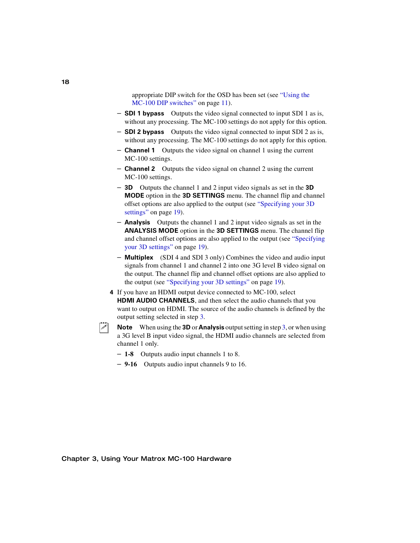appropriate DIP switch for the OSD has been set (see ["Using the](#page-18-0)  [MC-100 DIP switches" on page](#page-18-0) 11).

- $-$  **SDI 1 bypass** Outputs the video signal connected to input SDI 1 as is, without any processing. The MC-100 settings do not apply for this option.
- **SDI 2 bypass** Outputs the video signal connected to input SDI 2 as is, without any processing. The MC-100 settings do not apply for this option.
- **Channel 1** Outputs the video signal on channel 1 using the current MC-100 settings.
- **Channel 2** Outputs the video signal on channel 2 using the current MC-100 settings.
- \$ **3D** Outputs the channel 1 and 2 input video signals as set in the **3D MODE** option in the **3D SETTINGS** menu. The channel flip and channel offset options are also applied to the output (see ["Specifying your 3D](#page-26-0)  [settings" on page](#page-26-0) 19).
- <span id="page-25-2"></span><span id="page-25-1"></span> $\blacksquare$  **Analysis** Outputs the channel 1 and 2 input video signals as set in the **ANALYSIS MODE** option in the **3D SETTINGS** menu. The channel flip and channel offset options are also applied to the output (see ["Specifying](#page-26-0)  [your 3D settings" on page](#page-26-0) 19).
- <span id="page-25-4"></span><span id="page-25-3"></span><span id="page-25-0"></span> $-$  **Multiplex** (SDI 4 and SDI 3 only) Combines the video and audio input signals from channel 1 and channel 2 into one 3G level B video signal on the output. The channel flip and channel offset options are also applied to the output (see ["Specifying your 3D settings" on page](#page-26-0) 19).
- **4** If you have an HDMI output device connected to MC-100, select **HDMI AUDIO CHANNELS**, and then select the audio channels that you want to output on HDMI. The source of the audio channels is defined by the output setting selected in step [3.](#page-24-1)
- **Note** When using the **3D** or **Analysis** output setting in step [3](#page-24-1), or when using a 3G level B input video signal, the HDMI audio channels are selected from channel 1 only.
	- $-1-8$  Outputs audio input channels 1 to 8.
	- $-9-16$  Outputs audio input channels 9 to 16.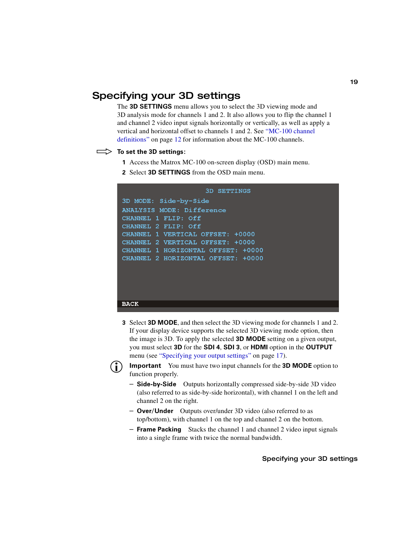## <span id="page-26-0"></span>Specifying your 3D settings

The **3D SETTINGS** menu allows you to select the 3D viewing mode and 3D analysis mode for channels 1 and 2. It also allows you to flip the channel 1 and channel 2 video input signals horizontally or vertically, as well as apply a vertical and horizontal offset to channels 1 and 2. See ["MC-100 channel](#page-19-0)  [definitions" on page](#page-19-0) 12 for information about the MC-100 channels.

#### $\implies$  To set the 3D settings:

- <span id="page-26-2"></span>**1** Access the Matrox MC-100 on-screen display (OSD) main menu.
- **2** Select **3D SETTINGS** from the OSD main menu.

```
3D SETTINGS
3D MODE: Side-by-Side
ANALYSIS MODE: Difference
CHANNEL 1 FLIP: Off
CHANNEL 2 FLIP: Off
CHANNEL 1 VERTICAL OFFSET: +0000
CHANNEL 2 VERTICAL OFFSET: +0000
CHANNEL 1 HORIZONTAL OFFSET: +0000
CHANNEL 2 HORIZONTAL OFFSET: +0000
```
#### **BACK**

<span id="page-26-1"></span>**3** Select **3D MODE**, and then select the 3D viewing mode for channels 1 and 2. If your display device supports the selected 3D viewing mode option, then the image is 3D. To apply the selected **3D MODE** setting on a given output, you must select **3D** for the **SDI 4**, **SDI 3**, or **HDMI** option in the **OUTPUT** menu (see ["Specifying your output settings" on page](#page-24-0) 17).



**Important** You must have two input channels for the **3D MODE** option to function properly.

- **Side-by-Side** Outputs horizontally compressed side-by-side 3D video (also referred to as side-by-side horizontal), with channel 1 on the left and channel 2 on the right.
- **Over/Under** Outputs over/under 3D video (also referred to as top/bottom), with channel 1 on the top and channel 2 on the bottom.
- **Frame Packing** Stacks the channel 1 and channel 2 video input signals into a single frame with twice the normal bandwidth.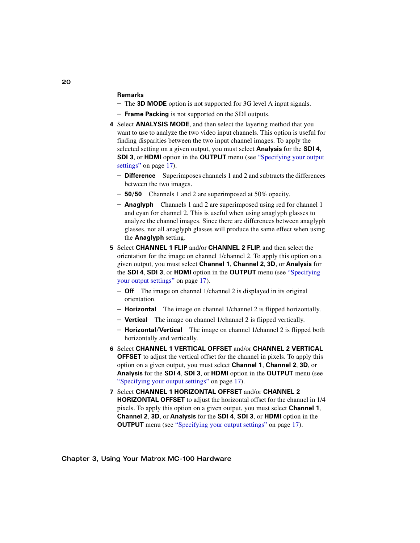#### **Remarks**

- The **3D MODE** option is not supported for 3G level A input signals.
- <span id="page-27-0"></span> $-$  **Frame Packing** is not supported on the SDI outputs.
- **4** Select **ANALYSIS MODE**, and then select the layering method that you want to use to analyze the two video input channels. This option is useful for finding disparities between the two input channel images. To apply the selected setting on a given output, you must select **Analysis** for the **SDI 4**, **SDI 3, or HDMI** option in the **OUTPUT** menu (see "Specifying your output [settings" on page](#page-24-0) 17).
	- **Difference** Superimposes channels 1 and 2 and subtracts the differences between the two images.
	- **50/50** Channels 1 and 2 are superimposed at 50% opacity.
	- **Anaglyph** Channels 1 and 2 are superimposed using red for channel 1 and cyan for channel 2. This is useful when using anaglyph glasses to analyze the channel images. Since there are differences between anaglyph glasses, not all anaglyph glasses will produce the same effect when using the **Anaglyph** setting.
- <span id="page-27-1"></span>**5** Select **CHANNEL 1 FLIP** and/or **CHANNEL 2 FLIP**, and then select the orientation for the image on channel 1/channel 2. To apply this option on a given output, you must select **Channel 1**, **Channel 2**, **3D**, or **Analysis** for the **SDI 4**, **SDI 3**, or **HDMI** option in the **OUTPUT** menu (see ["Specifying](#page-24-0)  [your output settings" on page](#page-24-0) 17).
	- **Off** The image on channel 1/channel 2 is displayed in its original orientation.
	- $-$  **Horizontal** The image on channel 1/channel 2 is flipped horizontally.
	- **Vertical** The image on channel 1/channel 2 is flipped vertically.
	- **Horizontal/Vertical** The image on channel 1/channel 2 is flipped both horizontally and vertically.
- <span id="page-27-3"></span>**6** Select **CHANNEL 1 VERTICAL OFFSET** and/or **CHANNEL 2 VERTICAL OFFSET** to adjust the vertical offset for the channel in pixels. To apply this option on a given output, you must select **Channel 1**, **Channel 2**, **3D**, or **Analysis** for the **SDI 4**, **SDI 3**, or **HDMI** option in the **OUTPUT** menu (see ["Specifying your output settings" on page](#page-24-0) 17).
- <span id="page-27-2"></span>**7** Select **CHANNEL 1 HORIZONTAL OFFSET** and/or **CHANNEL 2 HORIZONTAL OFFSET** to adjust the horizontal offset for the channel in 1/4 pixels. To apply this option on a given output, you must select **Channel 1**, **Channel 2**, **3D**, or **Analysis** for the **SDI 4**, **SDI 3**, or **HDMI** option in the **OUTPUT** menu (see ["Specifying your output settings" on page](#page-24-0) 17).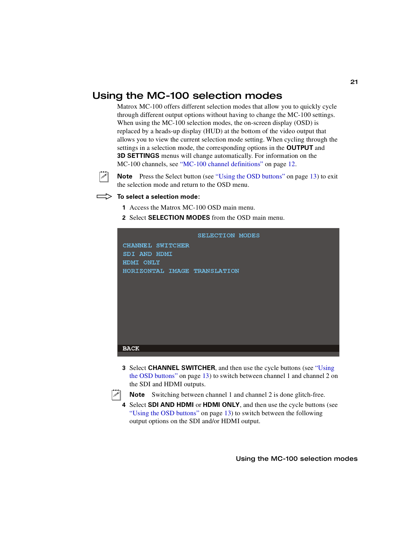## <span id="page-28-0"></span>Using the MC-100 selection modes

<span id="page-28-1"></span>Matrox MC-100 offers different selection modes that allow you to quickly cycle through different output options without having to change the MC-100 settings. When using the MC-100 selection modes, the on-screen display (OSD) is replaced by a heads-up display (HUD) at the bottom of the video output that allows you to view the current selection mode setting. When cycling through the settings in a selection mode, the corresponding options in the **OUTPUT** and **3D SETTINGS** menus will change automatically. For information on the MC-100 channels, see ["MC-100 channel definitions" on page](#page-19-0) 12.



**Note** Press the Select button (see ["Using the OSD buttons" on page](#page-20-1) 13) to exit the selection mode and return to the OSD menu.

#### °**To select a selection mode:**

- **1** Access the Matrox MC-100 OSD main menu.
- **2** Select **SELECTION MODES** from the OSD main menu.



**3** Select **CHANNEL SWITCHER**, and then use the cycle buttons (see ["Using](#page-20-1)  [the OSD buttons" on page](#page-20-1) 13) to switch between channel 1 and channel 2 on the SDI and HDMI outputs.



<span id="page-28-4"></span><span id="page-28-3"></span><span id="page-28-2"></span>**Note** Switching between channel 1 and channel 2 is done glitch-free.

**4** Select **SDI AND HDMI** or **HDMI ONLY**, and then use the cycle buttons (see ["Using the OSD buttons" on page](#page-20-1) 13) to switch between the following output options on the SDI and/or HDMI output.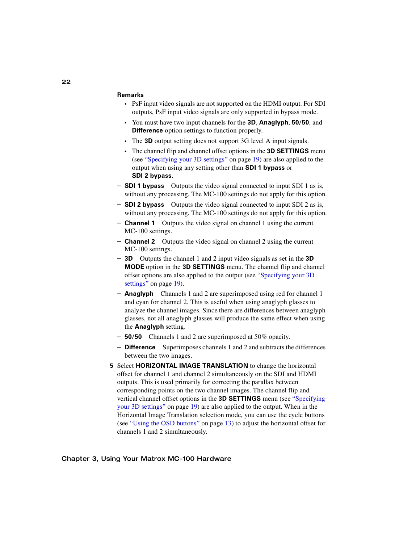#### **Remarks**

- PsF input video signals are not supported on the HDMI output. For SDI outputs, PsF input video signals are only supported in bypass mode.
- You must have two input channels for the **3D**, **Anaglyph**, **50/50**, and **Difference** option settings to function properly.
- The **3D** output setting does not support 3G level A input signals.
- The channel flip and channel offset options in the **3D SETTINGS** menu (see ["Specifying your 3D settings" on page](#page-26-0) 19) are also applied to the output when using any setting other than **SDI 1 bypass** or **SDI 2 bypass**.
- $\overline{\phantom{a}}$  **SDI 1 bypass** Outputs the video signal connected to input SDI 1 as is, without any processing. The MC-100 settings do not apply for this option.
- $\overline{\phantom{a}}$  **SDI 2 bypass** Outputs the video signal connected to input SDI 2 as is, without any processing. The MC-100 settings do not apply for this option.
- **Channel 1** Outputs the video signal on channel 1 using the current MC-100 settings.
- **Channel 2** Outputs the video signal on channel 2 using the current MC-100 settings.
- \$ **3D** Outputs the channel 1 and 2 input video signals as set in the **3D MODE** option in the **3D SETTINGS** menu. The channel flip and channel offset options are also applied to the output (see ["Specifying your 3D](#page-26-0)  [settings" on page](#page-26-0) 19).
- **Anaglyph** Channels 1 and 2 are superimposed using red for channel 1 and cyan for channel 2. This is useful when using anaglyph glasses to analyze the channel images. Since there are differences between anaglyph glasses, not all anaglyph glasses will produce the same effect when using the **Anaglyph** setting.
- $-$  **50/50** Channels 1 and 2 are superimposed at 50% opacity.
- <span id="page-29-1"></span><span id="page-29-0"></span>- **Difference** Superimposes channels 1 and 2 and subtracts the differences between the two images.
- **5** Select **HORIZONTAL IMAGE TRANSLATION** to change the horizontal offset for channel 1 and channel 2 simultaneously on the SDI and HDMI outputs. This is used primarily for correcting the parallax between corresponding points on the two channel images. The channel flip and vertical channel offset options in the **3D SETTINGS** menu (see ["Specifying](#page-26-0)  [your 3D settings" on page](#page-26-0) 19) are also applied to the output. When in the Horizontal Image Translation selection mode, you can use the cycle buttons (see ["Using the OSD buttons" on page](#page-20-1) 13) to adjust the horizontal offset for channels 1 and 2 simultaneously.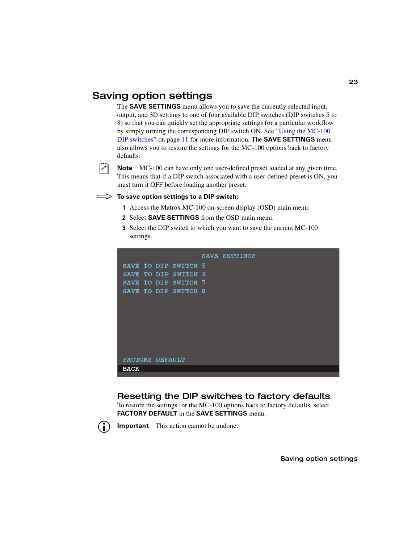## <span id="page-30-0"></span>Saving option settings

The **SAVE SETTINGS** menu allows you to save the currently selected input, output, and 3D settings to one of four available DIP switches (DIP switches 5 to 8) so that you can quickly set the appropriate settings for a particular workflow by simply turning the corresponding DIP switch ON. See ["Using the MC-100](#page-18-0)  [DIP switches" on page](#page-18-0) 11 for more information. The **SAVE SETTINGS** menu also allows you to restore the settings for the MC-100 options back to factory defaults.



**Note** MC-100 can have only one user-defined preset loaded at any given time. This means that if a DIP switch associated with a user-defined preset is ON, you must turn it OFF before loading another preset.

#### $\implies$  To save option settings to a DIP switch:

- <span id="page-30-3"></span>**1** Access the Matrox MC-100 on-screen display (OSD) main menu.
- **2** Select **SAVE SETTINGS** from the OSD main menu.
- **3** Select the DIP switch to which you want to save the current MC-100 settings.



## <span id="page-30-1"></span>Resetting the DIP switches to factory defaults

<span id="page-30-2"></span>To restore the settings for the MC-100 options back to factory defaults, select **FACTORY DEFAULT** in the **SAVE SETTINGS** menu.



**Important** This action cannot be undone.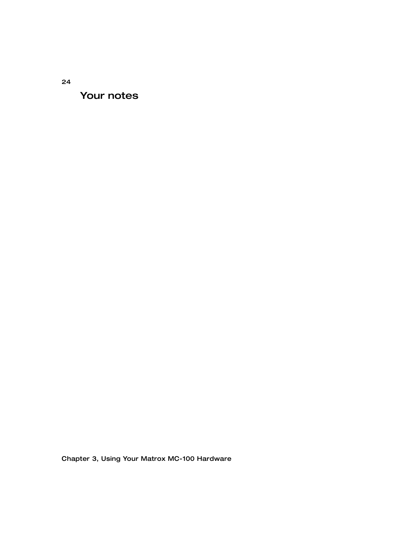Your notes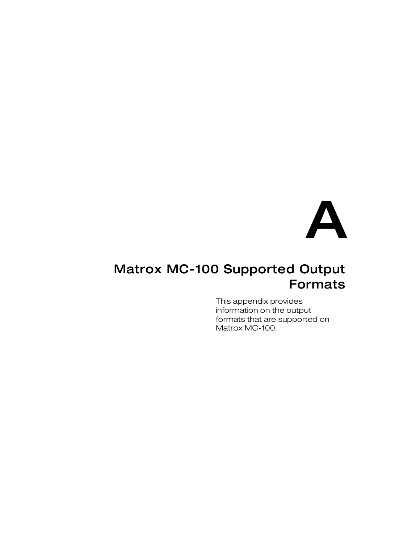

# <span id="page-32-2"></span><span id="page-32-1"></span><span id="page-32-0"></span>Matrox MC-100 Supported Output Formats

This appendix provides information on the output formats that are supported on Matrox MC-100.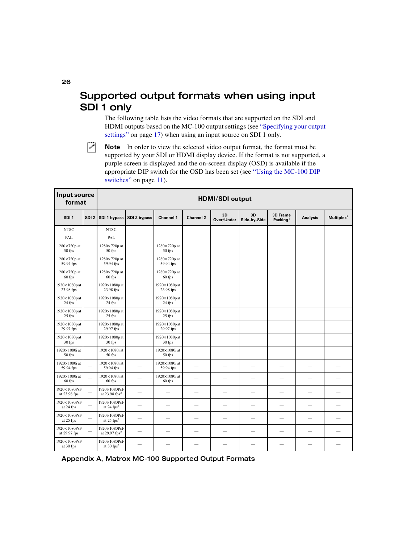## <span id="page-33-0"></span>Supported output formats when using input SDI 1 only

<span id="page-33-3"></span><span id="page-33-2"></span><span id="page-33-1"></span>The following table lists the video formats that are supported on the SDI and HDMI outputs based on the MC-100 output settings (see ["Specifying your output](#page-24-2)  [settings" on page](#page-24-2) 17) when using an input source on SDI 1 only.



 $|\mathcal{F}|$  Note In order to view the selected video output format, the format must be supported by your SDI or HDMI display device. If the format is not supported, a purple screen is displayed and the on-screen display (OSD) is available if the appropriate DIP switch for the OSD has been set (see ["Using the MC-100 DIP](#page-18-1)  [switches" on page](#page-18-1) 11).

| Input source<br>format             |                          | <b>HDMI/SDI output</b>                      |                          |                                     |                          |                          |                          |                                         |                          |                          |  |  |
|------------------------------------|--------------------------|---------------------------------------------|--------------------------|-------------------------------------|--------------------------|--------------------------|--------------------------|-----------------------------------------|--------------------------|--------------------------|--|--|
| SDI <sub>1</sub>                   | SDI <sub>2</sub>         | SDI 1 bypass                                | SDI 2 bypass             | <b>Channel 1</b>                    | <b>Channel 2</b>         | 3D<br>Over/Under         | 3D<br>Side-bv-Side       | <b>3D Frame</b><br>Packing <sup>1</sup> | <b>Analysis</b>          | Multiplex <sup>2</sup>   |  |  |
| <b>NTSC</b>                        | $\equiv$                 | <b>NTSC</b>                                 | ÷,                       | $\equiv$                            | $\equiv$                 | $\overline{\phantom{0}}$ |                          | $\equiv$                                | $\equiv$                 |                          |  |  |
| PAL                                | $\equiv$                 | PAL                                         | $\overline{\phantom{0}}$ | $\equiv$                            | $\equiv$                 | $\overline{\phantom{0}}$ | $\overline{\phantom{0}}$ | $\equiv$                                |                          | $\overline{\phantom{a}}$ |  |  |
| $1280 \times 720p$ at<br>50 fps    | $\overline{\phantom{0}}$ | 1280×720p at<br>50 fps                      | $\equiv$                 | 1280×720p at<br>50 fps              | $\overline{\phantom{0}}$ | ÷.                       | $\overline{\phantom{0}}$ |                                         | $\overline{\phantom{0}}$ |                          |  |  |
| $1280 \times 720p$ at<br>59.94 fps | $\overline{\phantom{0}}$ | 1280×720p at<br>59.94 fps                   |                          | 1280×720p at<br>59.94 fps           | $\overline{\phantom{a}}$ |                          | $\overline{\phantom{a}}$ |                                         |                          |                          |  |  |
| 1280×720p at<br>60 fps             |                          | 1280×720p at<br>60 fps                      |                          | 1280×720p at<br>60 fps              |                          |                          |                          |                                         |                          |                          |  |  |
| 1920×1080pat<br>23.98 fps          |                          | 1920×1080p at<br>23.98 fps                  |                          | $1920 \times 1080p$ at<br>23.98 fps |                          |                          |                          |                                         |                          |                          |  |  |
| 1920×1080pat<br>24 fps             |                          | 1920×1080p at<br>24 fps                     |                          | 1920×1080p at<br>24 fps             |                          |                          |                          |                                         |                          |                          |  |  |
| 1920×1080pat<br>25 fps             |                          | 1920×1080p at<br>25 fps                     |                          | $1920 \times 1080p$ at<br>25 fps    | $\overline{\phantom{0}}$ |                          | $\overline{\phantom{a}}$ |                                         |                          |                          |  |  |
| 1920×1080pat<br>29.97 fps          | $\equiv$                 | $1920\times1080p$ at<br>29.97 fps           |                          | $1920 \times 1080p$ at<br>29.97 fps | $\overline{\phantom{0}}$ |                          |                          |                                         | $\overline{\phantom{0}}$ |                          |  |  |
| 1920×1080pat<br>30 fps             | ÷.                       | 1920×1080p at<br>30 fps                     |                          | $1920 \times 1080p$ at<br>30 fps    | $\overline{\phantom{0}}$ |                          |                          |                                         |                          |                          |  |  |
| 1920×1080i at<br>50 fps            |                          | 1920×1080i at<br>50 fps                     |                          | $1920 \times 1080$ i at<br>50 fps   | $\overline{\phantom{0}}$ | $\overline{\phantom{0}}$ | $\overline{\phantom{0}}$ |                                         | $\overline{\phantom{0}}$ |                          |  |  |
| 1920×1080i at<br>59.94 fps         | $\overline{\phantom{0}}$ | 1920×1080i at<br>59.94 fps                  |                          | 1920×1080i at<br>59.94 fps          | $\overline{\phantom{0}}$ | $\overline{\phantom{0}}$ | $\overline{\phantom{a}}$ | $\overline{\phantom{0}}$                | $\overline{\phantom{0}}$ | $\overline{\phantom{a}}$ |  |  |
| 1920×1080i at<br>60 fps            |                          | 1920×1080i at<br>60 fps                     |                          | 1920×1080i at<br>60 fps             |                          |                          |                          |                                         |                          |                          |  |  |
| 1920×1080PsF<br>at 23.98 fps       | $\overline{\phantom{0}}$ | 1920×1080PsF<br>at $23.98$ fps <sup>2</sup> |                          | $\sim$                              |                          |                          |                          |                                         |                          |                          |  |  |
| 1920×1080PsF<br>at 24 fps          |                          | 1920×1080PsF<br>at $24$ fps <sup>2</sup>    |                          | $\overline{\phantom{0}}$            |                          |                          |                          |                                         |                          |                          |  |  |
| 1920×1080PsF<br>at 25 fps          | $\overline{\phantom{0}}$ | 1920×1080PsF<br>at $25$ fps <sup>2</sup>    |                          |                                     | $\overline{\phantom{0}}$ |                          |                          |                                         |                          |                          |  |  |
| 1920×1080PsF<br>at 29.97 fps       | $\overline{\phantom{a}}$ | 1920×1080PsF<br>at 29.97 $fps^2$            | $\qquad \qquad$          | $\overline{\phantom{a}}$            | $\overline{\phantom{0}}$ | $\overline{\phantom{0}}$ | $\overline{\phantom{0}}$ | $\overline{\phantom{0}}$                | $\qquad \qquad$          |                          |  |  |
| 1920×1080PsF<br>at 30 fps          |                          | 1920×1080PsF<br>at $30$ fps <sup>2</sup>    |                          |                                     |                          |                          |                          |                                         |                          |                          |  |  |

#### Appendix A, Matrox MC-100 Supported Output Formats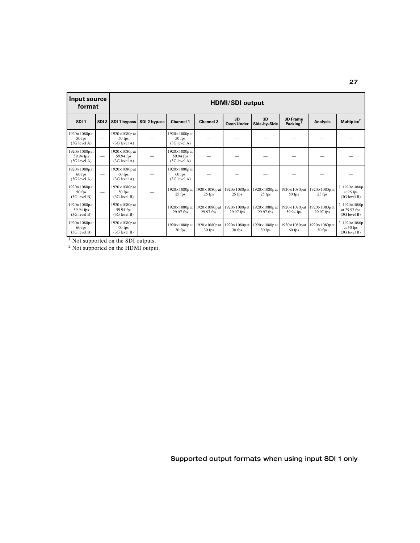| Input source<br>format                              |  | <b>HDMI/SDI output</b>                                 |              |                                                      |                                     |                                  |                                     |                                         |                                  |                                              |  |  |  |
|-----------------------------------------------------|--|--------------------------------------------------------|--------------|------------------------------------------------------|-------------------------------------|----------------------------------|-------------------------------------|-----------------------------------------|----------------------------------|----------------------------------------------|--|--|--|
| SDI <sub>1</sub>                                    |  | SDI 2   SDI 1 bypass                                   | SDI 2 bypass | <b>Channel 1</b>                                     | <b>Channel 2</b>                    | 3D<br>Over/Under                 | 3D<br>Side-by-Side                  | <b>3D Frame</b><br>Packing <sup>1</sup> | Analysis                         | Multiplex <sup>2</sup>                       |  |  |  |
| $1920 \times 1080$ pat<br>50 fps<br>$(3G$ level A)  |  | $1920 \times 1080p$ at<br>$50$ fps<br>$(3G$ level A)   |              | $1920 \times 1080p$ at<br>50 fps<br>$(3G$ level A)   |                                     |                                  |                                     |                                         |                                  |                                              |  |  |  |
| 1920×1080pat<br>59.94 fps<br>$(3G$ level A)         |  | $1920 \times 1080p$ at<br>59.94 fps<br>$(3G$ level A)  |              | 1920×1080p at<br>59.94 fps<br>$(3G$ level A)         |                                     |                                  |                                     |                                         |                                  |                                              |  |  |  |
| $1920 \times 1080p$ at<br>60 fps<br>$(3G$ level A)  |  | $1920 \times 1080p$ at<br>$60$ fps<br>$(3G$ level A)   |              | $1920 \times 1080p$ at<br>$60$ fps<br>$(3G$ level A) |                                     |                                  |                                     |                                         |                                  |                                              |  |  |  |
| $1920 \times 1080$ p at<br>50 fps<br>$(3G$ level B) |  | $1920 \times 1080p$ at<br>$50$ fps<br>$(3G$ level $B)$ |              | $1920 \times 1080p$ at<br>25 fps                     | $1920 \times 1080p$ at<br>25 fps    | 1920×1080p at<br>$25$ fps        | $1920 \times 1080p$ at<br>25 fps    | 1920×1080p at<br>50 fps                 | $1920 \times 1080p$ at<br>25 fps | 2 1920×1080p<br>at 25 fps<br>(3G level B)    |  |  |  |
| $1920 \times 1080p$ at<br>59.94 fps<br>(3G level B) |  | $1920 \times 1080p$ at<br>59.94 fps<br>$(3G$ level B)  |              | $1920 \times 1080p$ at<br>29.97 fps                  | $1920 \times 1080p$ at<br>29.97 fps | 1920×1080p at<br>29.97 fps       | $1920 \times 1080p$ at<br>29.97 fps | 1920×1080p at<br>59.94 fps              | 1920×1080p at<br>29.97 fps       | 2 1920×1080p<br>at 29.97 fps<br>(3G level B) |  |  |  |
| $1920 \times 1080p$ at<br>60 fps<br>(3G level B)    |  | $1920 \times 1080p$ at<br>$60$ fps<br>$(3G$ level $B)$ |              | $1920 \times 1080p$ at<br>30 fps                     | $1920 \times 1080p$ at<br>30 fps    | $1920 \times 1080p$ at<br>30 fps | $1920 \times 1080p$ at<br>30 fps    | $1920 \times 1080p$ at<br>60 fps        | $1920 \times 1080p$ at<br>30 fps | 2 1920×1080p<br>at 30 fps<br>(3G level B)    |  |  |  |

 $<sup>1</sup>$  Not supported on the SDI outputs.</sup>

 $2$  Not supported on the HDMI output.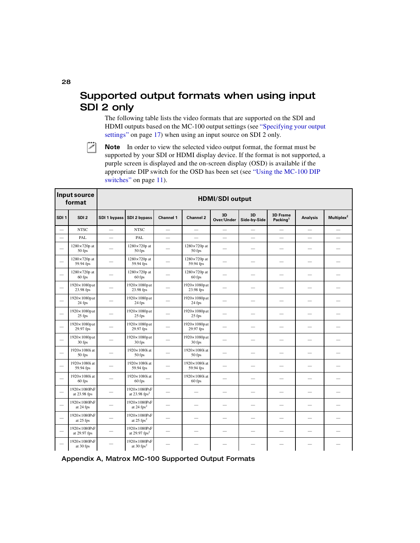## <span id="page-35-0"></span>Supported output formats when using input SDI 2 only

<span id="page-35-3"></span><span id="page-35-2"></span><span id="page-35-1"></span>The following table lists the video formats that are supported on the SDI and HDMI outputs based on the MC-100 output settings (see ["Specifying your output](#page-24-2)  [settings" on page](#page-24-2) 17) when using an input source on SDI 2 only.



 $|\mathcal{F}|$  Note In order to view the selected video output format, the format must be supported by your SDI or HDMI display device. If the format is not supported, a purple screen is displayed and the on-screen display (OSD) is available if the appropriate DIP switch for the OSD has been set (see ["Using the MC-100 DIP](#page-18-1)  [switches" on page](#page-18-1) 11).

|                          | Input source<br>format          | <b>HDMI/SDI output</b>   |                                             |                          |                                     |                          |                          |                                         |                          |                        |  |  |
|--------------------------|---------------------------------|--------------------------|---------------------------------------------|--------------------------|-------------------------------------|--------------------------|--------------------------|-----------------------------------------|--------------------------|------------------------|--|--|
| SDI <sub>1</sub>         | SDI <sub>2</sub>                | <b>SDI 1 bypass</b>      | SDI 2 bypass                                | <b>Channel 1</b>         | Channel 2                           | 3D<br>Over/Under         | 3D<br>Side-by-Side       | <b>3D Frame</b><br>Packing <sup>1</sup> | <b>Analysis</b>          | Multiplex <sup>2</sup> |  |  |
|                          | <b>NTSC</b>                     | $\overline{\phantom{0}}$ | <b>NTSC</b>                                 | $\overline{\phantom{0}}$ | $=$                                 | $\overline{\phantom{0}}$ |                          | $\equiv$                                | $\equiv$                 |                        |  |  |
|                          | PAL                             |                          | <b>PAL</b>                                  |                          |                                     |                          |                          |                                         |                          |                        |  |  |
|                          | $1280 \times 720p$ at<br>50 fps |                          | $1280 \times 720p$ at<br>50 fps             |                          | 1280×720p at<br>50 fps              |                          |                          |                                         |                          |                        |  |  |
|                          | 1280×720p at<br>59.94 fps       |                          | $1280\times720p$ at<br>59.94 fps            |                          | $1280 \times 720p$ at<br>59.94 fps  |                          |                          |                                         | $\overline{\phantom{0}}$ |                        |  |  |
|                          | $1280 \times 720p$ at<br>60 fps |                          | $1280 \times 720p$ at<br>60 fps             |                          | $1280\times720p$ at<br>60 fps       |                          |                          |                                         |                          |                        |  |  |
|                          | 1920×1080pat<br>23.98 fps       |                          | 1920×1080pat<br>23.98 fps                   |                          | 1920×1080pat<br>23.98 fps           |                          |                          |                                         | $\overline{\phantom{0}}$ |                        |  |  |
|                          | 1920×1080pat<br>24 fps          |                          | 1920×1080pat<br>24 fps                      |                          | 1920×1080pat<br>24 fps              | $\overline{\phantom{0}}$ | $\overline{\phantom{0}}$ | $\overline{\phantom{0}}$                | --                       |                        |  |  |
| $\overline{\phantom{a}}$ | 1920×1080pat<br>25 fps          |                          | 1920×1080pat<br>25 fps                      |                          | 1920×1080pat<br>25 fps              | $\overline{\phantom{0}}$ | $\overline{\phantom{0}}$ | $\overline{\phantom{0}}$                | $\overline{\phantom{0}}$ |                        |  |  |
|                          | 1920×1080pat<br>29.97 fps       |                          | 1920×1080pat<br>29.97 fps                   |                          | $1920 \times 1080p$ at<br>29.97 fps |                          |                          |                                         |                          |                        |  |  |
|                          | 1920×1080pat<br>30 fps          |                          | 1920×1080pat<br>30 fps                      |                          | $1920 \times 1080$ pat<br>30 fps    |                          |                          |                                         |                          |                        |  |  |
|                          | 1920×1080i at<br>50 fps         |                          | 1920×1080i at<br>50 fps                     |                          | 1920×1080i at<br>50 fps             |                          |                          |                                         |                          |                        |  |  |
|                          | 1920×1080i at<br>59.94 fps      |                          | 1920×1080i at<br>59.94 fps                  |                          | 1920×1080i at<br>59.94 fps          |                          |                          |                                         |                          |                        |  |  |
| $\overline{\phantom{0}}$ | 1920×1080i at<br>60 fps         | $\overline{\phantom{a}}$ | 1920×1080i at<br>60 fps                     | $\overline{\phantom{a}}$ | 1920×1080i at<br>60 fps             | --                       | $\overline{\phantom{0}}$ | $\sim$                                  | --                       |                        |  |  |
|                          | 1920×1080PsF<br>at 23.98 fps    |                          | 1920×1080PsF<br>at $23.98$ fps <sup>2</sup> |                          | $\equiv$                            |                          |                          |                                         |                          |                        |  |  |
|                          | 1920×1080PsF<br>at 24 fps       |                          | 1920×1080PsF<br>at $24$ fps <sup>2</sup>    |                          |                                     |                          |                          |                                         |                          |                        |  |  |
|                          | 1920×1080PsF<br>at 25 fps       |                          | 1920×1080PsF<br>at $25$ fps <sup>2</sup>    |                          | $\equiv$                            |                          |                          |                                         |                          |                        |  |  |
|                          | 1920×1080PsF<br>at 29.97 fps    |                          | 1920×1080PsF<br>at 29.97 $fps^2$            |                          |                                     |                          |                          |                                         |                          |                        |  |  |
|                          | 1920×1080PsF<br>at 30 fps       |                          | 1920×1080PsF<br>at $30$ fps <sup>2</sup>    |                          | $\overline{\phantom{0}}$            |                          |                          |                                         |                          |                        |  |  |

Appendix A, Matrox MC-100 Supported Output Formats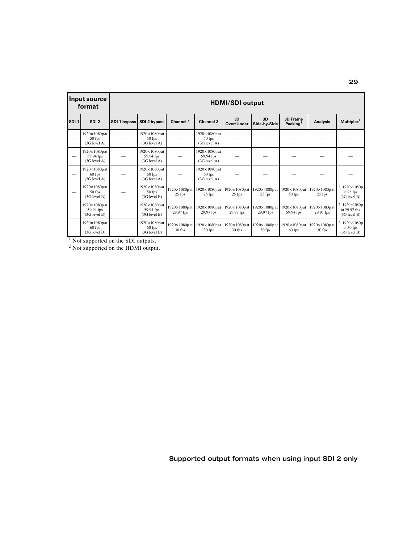|                  | Input source<br>format                      | <b>HDMI/SDI output</b> |                                                    |                                     |                                             |                                     |                                                     |                                         |                                     |                                              |  |  |
|------------------|---------------------------------------------|------------------------|----------------------------------------------------|-------------------------------------|---------------------------------------------|-------------------------------------|-----------------------------------------------------|-----------------------------------------|-------------------------------------|----------------------------------------------|--|--|
| SDI <sub>1</sub> | SDI <sub>2</sub>                            | SDI 1 bypass           | SDI 2 bypass                                       | <b>Channel 1</b>                    | <b>Channel 2</b>                            | 3D<br>Over/Under                    | 3D<br>Side-by-Side                                  | <b>3D Frame</b><br>Packing <sup>1</sup> | Analysis                            | Multiplex <sup>2</sup>                       |  |  |
|                  | 1920×1080pat<br>50 fps<br>$(3G$ level A)    |                        | 1920×1080pat<br>50 fps<br>$(3G$ level A)           |                                     | 1920×1080pat<br>50 fps<br>$(3G$ level A)    |                                     |                                                     |                                         |                                     |                                              |  |  |
|                  | 1920×1080pat<br>59.94 fps<br>$(3G$ level A) |                        | 1920×1080pat<br>59.94 fps<br>$(3G$ level A)        |                                     | 1920×1080pat<br>59.94 fps<br>$(3G$ level A) |                                     |                                                     |                                         |                                     |                                              |  |  |
|                  | 1920×1080pat<br>$60$ fps<br>$(3G$ level A)  |                        | $1920 \times 1080$ pat<br>60 fps<br>$(3G$ level A) |                                     | 1920×1080pat<br>60 fps<br>$(3G$ level A)    |                                     |                                                     |                                         |                                     |                                              |  |  |
|                  | 1920×1080pat<br>50 fps<br>$(3G$ level $B)$  |                        | 1920×1080pat<br>50 fps<br>(3G level B)             | $1920 \times 1080p$ at<br>$25$ fps  | 1920×1080pat<br>$25$ fps                    | $25$ fps                            | 1920×1080p at 1920×1080p at 1920×1080p at<br>25 fps | 50 fps                                  | 1920×1080pat<br>25 fps              | 2 1920×1080p<br>at 25 fps<br>(3G level B)    |  |  |
|                  | 1920×1080pat<br>59.94 fps<br>(3G level B)   |                        | 1920×1080pat<br>59.94 fps<br>$(3G$ level $B)$      | $1920 \times 1080p$ at<br>29.97 fps | 1920×1080pat<br>29.97 fps                   | $1920 \times 1080p$ at<br>29.97 fps | 1920×1080pat<br>29.97 fps                           | $1920 \times 1080p$ at<br>59.94 fps     | $1920 \times 1080$ pat<br>29.97 fps | 2 1920×1080p<br>at 29.97 fps<br>(3G level B) |  |  |
|                  | 1920×1080pat<br>60 fps<br>(3G level B)      |                        | 1920×1080pat<br>60 fps<br>(3G level B)             | $1920 \times 1080p$ at<br>30 fps    | 1920×1080pat<br>30 fps                      | $1920 \times 1080p$ at<br>$30$ fps  | 1920×1080pat<br>30 fps                              | $1920 \times 1080p$ at<br>60 fps        | $1920 \times 1080$ pat<br>30 fps    | 2 1920×1080p<br>at 30 fps<br>(3G level B)    |  |  |

 $<sup>1</sup>$  Not supported on the SDI outputs.</sup>

 $2$  Not supported on the HDMI output.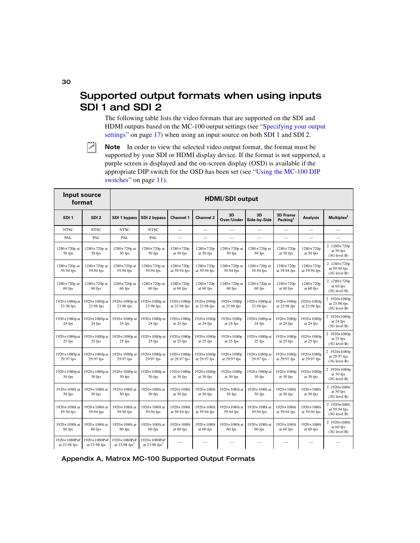## <span id="page-37-0"></span>Supported output formats when using inputs SDI 1 and SDI 2

<span id="page-37-3"></span><span id="page-37-2"></span><span id="page-37-1"></span>The following table lists the video formats that are supported on the SDI and HDMI outputs based on the MC-100 output settings (see ["Specifying your output](#page-24-2)  [settings" on page](#page-24-2) 17) when using an input source on both SDI 1 and SDI 2.



 $|\mathcal{F}|$  Note In order to view the selected video output format, the format must be supported by your SDI or HDMI display device. If the format is not supported, a purple screen is displayed and the on-screen display (OSD) is available if the appropriate DIP switch for the OSD has been set (see ["Using the MC-100 DIP](#page-18-1)  [switches" on page](#page-18-1) 11).

| Input source<br>format              |                                  | <b>HDMI/SDI output</b>                      |                                             |                                     |                                   |                                     |                                    |                                         |                                  |                                              |  |
|-------------------------------------|----------------------------------|---------------------------------------------|---------------------------------------------|-------------------------------------|-----------------------------------|-------------------------------------|------------------------------------|-----------------------------------------|----------------------------------|----------------------------------------------|--|
| SDI <sub>1</sub>                    | SDI <sub>2</sub>                 | SDI 1 bypass                                | SDI 2 bypass                                | <b>Channel 1</b>                    | <b>Channel 2</b>                  | 3D<br>Over/Under                    | 3D<br>Side-by-Side                 | <b>3D Frame</b><br>Packing <sup>1</sup> | <b>Analysis</b>                  | Multiplex <sup>2</sup>                       |  |
| <b>NTSC</b>                         | <b>NTSC</b>                      | <b>NTSC</b>                                 | <b>NTSC</b>                                 | $\equiv$                            | $\equiv$                          |                                     |                                    |                                         |                                  |                                              |  |
| PAL                                 | PAL                              | PAL                                         | PAL                                         | $\overline{\phantom{0}}$            |                                   |                                     |                                    |                                         |                                  |                                              |  |
| $1280 \times 720p$ at<br>50 fps     | 1280×720p at<br>$50$ fps         | 1280×720p at<br>50 fps                      | 1280×720p at<br>50 fps                      | $1280 \times 720p$<br>at 50 fps     | 1280×720p<br>at 50 fps            | 1280×720p at<br>50 fps              | 1280×720p at<br>50 fps             | 1280×720p<br>at 50 fps                  | 1280×720p<br>at 50 fps           | 2 1280×720p<br>at 50 fps<br>(3G level B)     |  |
| $1280 \times 720p$ at<br>59.94 fps  | 1280×720p at<br>59.94 fps        | $1280 \times 720p$ at<br>59.94 fps          | 1280×720p at<br>59.94 fps                   | $1280 \times 720p$<br>at 59.94 fps  | 1280×720p<br>at 59.94 fps         | 1280×720p at<br>59.94 fps           | $1280 \times 720p$ at<br>59.94 fps | 1280×720p<br>at 59.94 fps               | 1280×720p<br>at 59.94 fps        | 2 1280×720p<br>at 59.94 fps<br>(3G level B)  |  |
| $1280 \times 720p$ at<br>$60$ fps   | 1280×720p at<br>$60$ fps         | $1280 \times 720p$ at<br>60 fps             | 1280×720p at<br>60 fps                      | $1280 \times 720p$<br>at 60 fps     | 1280×720p<br>at 60 fps            | 1280×720p at<br>60 fps              | 1280×720p at<br>60 fps             | 1280×720p<br>at 60 fps                  | 1280×720p<br>at 60 fps           | 2 1280×720p<br>at 60 fps<br>(3G level B)     |  |
| $1920 \times 1080p$ at<br>23.98 fps | 1920×1080p at<br>23.98 fps       | 1920×1080p at<br>23.98 fps                  | 1920×1080p at<br>23.98 fps                  | 1920×1080p<br>at 23.98 fps          | 1920×1080p<br>at 23.98 fps        | $1920 \times 1080p$<br>at 23.98 fps | 1920×1080p at<br>23.98 fps         | 1920×1080p<br>at 23.98 fps              | 1920×1080p<br>at 23.98 fps       | 2 1920×1080p<br>at 23.98 fps<br>(3G level B) |  |
| $1920 \times 1080p$ at<br>24 fps    | 1920×1080p at<br>24 fps          | $1920 \times 1080p$ at<br>24 fps            | 1920×1080p at<br>24 fps                     | 1920×1080p<br>at 24 fps             | 1920×1080p<br>at 24 fps           | 1920×1080p<br>at 24 fps             | 1920×1080p at<br>24 fps            | 1920×1080p<br>at 24 fps                 | 1920×1080p<br>at 24 fps          | 2 1920×1080p<br>at 24 fps<br>(3G level B)    |  |
| $1920 \times 1080p$ at<br>25 fps    | 1920×1080p at<br>25 fps          | 1920×1080p at<br>25 fps                     | 1920×1080p at<br>25 fps                     | 1920×1080p<br>at 25 fps             | 1920×1080p<br>at 25 fps           | 1920×1080p<br>at 25 fps             | 1920×1080p at<br>25 fps            | 1920×1080p<br>at 25 fps                 | 1920×1080p<br>at 25 fps          | 2 1920×1080p<br>at 25 fps<br>(3G level B)    |  |
| $1920 \times 1080p$ at<br>29.97 fps | 1920×1080p at<br>29.97 fps       | 1920×1080p at<br>29.97 fps                  | 1920×1080p at<br>29.97 fps                  | 1920×1080p<br>at 29.97 fps          | 1920×1080p<br>at 29.97 fps        | 1920×1080p<br>at 29.97 fps          | 1920×1080p at<br>29.97 fps         | 1920×1080p<br>at 29.97 fps              | 1920×1080p<br>at 29.97 fps       | 2 1920×1080p<br>at 29.97 fps<br>(3G level B) |  |
| $1920 \times 1080p$ at<br>30 fps    | $1920 \times 1080p$ at<br>30 fps | 1920×1080p at<br>30 fps                     | 1920×1080p at<br>30 fps                     | 1920×1080p<br>at 30 fps             | 1920×1080p<br>at $30$ fps         | 1920×1080p<br>at 30 fps             | 1920×1080p at<br>$30$ fps          | 1920×1080p<br>at 30 fps                 | 1920×1080p<br>at 30 fps          | 2 1920×1080p<br>at 30 fps<br>(3G level B)    |  |
| 1920×1080i at<br>50 fps             | 1920×1080i at<br>50 fps          | 1920×1080i at<br>50 fps                     | 1920×1080i at<br>50 fps                     | 1920×1080i<br>at 50 fps             | 1920×1080i<br>at 50 fps           | 1920×1080i at<br>50 fps             | 1920×1080i at<br>50 fps            | 1920×1080i<br>at 50 fps                 | 1920×1080i<br>at 50 fps          | 2 1920×1080i<br>at 50 fps<br>(3G level B)    |  |
| 1920×1080i at<br>59.94 fps          | 1920×1080i at<br>59.94 fps       | 1920×1080i at<br>59.94 fps                  | 1920×1080i at<br>59.94 fps                  | $1920 \times 1080i$<br>at 59.94 fps | 1920×1080i<br>at 59.94 fps        | 1920×1080i at<br>59.94 fps          | 1920×1080i at<br>59.94 fps         | 1920×1080i<br>at 59.94 fps              | 1920×1080i<br>at 59.94 fps       | 2 1920×1080i<br>at 59.94 fps<br>(3G level B) |  |
| 1920×1080i at<br>60 fps             | 1920×1080i at<br>60 fps          | 1920×1080i at<br>60 fps                     | 1920×1080i at<br>60 fps                     | 1920×1080i<br>at 60 fps             | $1920 \times 1080$ i<br>at 60 fps | 1920×1080i at<br>60 fps             | $1920 \times 1080$ i at<br>60 fps  | 1920×1080i<br>at 60 fps                 | $1920 \times 1080i$<br>at 60 fps | 2 1920×1080i<br>at 60 fps<br>(3G level B)    |  |
| 1920×1080PsF<br>at 23.98 fps        | 1920×1080PsF<br>at 23.98 fps     | 1920×1080PsF<br>at $23.98$ fps <sup>2</sup> | 1920×1080PsF<br>at $23.98$ fps <sup>2</sup> |                                     |                                   |                                     |                                    |                                         |                                  |                                              |  |

#### Appendix A, Matrox MC-100 Supported Output Formats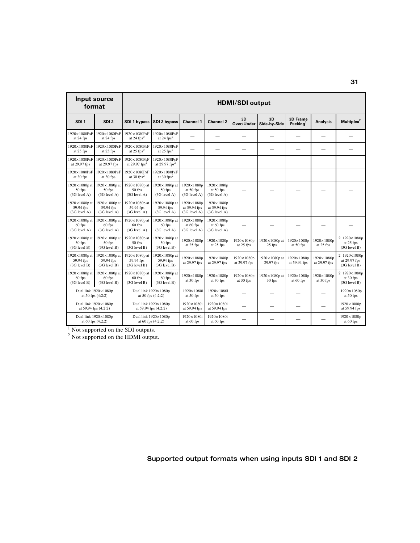| Input source                                          | format                                               | <b>HDMI/SDI output</b>                       |                                               |                                                     |                                                  |                            |                                  |                                         |                            |                                              |  |
|-------------------------------------------------------|------------------------------------------------------|----------------------------------------------|-----------------------------------------------|-----------------------------------------------------|--------------------------------------------------|----------------------------|----------------------------------|-----------------------------------------|----------------------------|----------------------------------------------|--|
| SDI <sub>1</sub>                                      | SDI <sub>2</sub>                                     | SDI 1 bypass                                 | SDI 2 bypass                                  | <b>Channel 1</b>                                    | <b>Channel 2</b>                                 | 3D<br>Over/Under           | 3D<br>Side-by-Side               | <b>3D Frame</b><br>Packing <sup>1</sup> | <b>Analysis</b>            | Multiplex <sup>2</sup>                       |  |
| 1920×1080PsF<br>at 24 fps                             | 1920×1080PsF<br>at 24 fps                            | 1920×1080PsF<br>at $24$ fps <sup>2</sup>     | 1920×1080PsF<br>at 24 $fps^2$                 |                                                     |                                                  |                            |                                  |                                         |                            |                                              |  |
| 1920×1080PsF<br>at 25 fps                             | $1920 \times 1080$ PsF<br>at 25 fps                  | 1920×1080PsF<br>at $25$ fps <sup>2</sup>     | 1920×1080PsF<br>at $25$ fps <sup>2</sup>      |                                                     |                                                  |                            |                                  |                                         |                            |                                              |  |
| 1920×1080PsF<br>at 29.97 fps                          | 1920×1080PsF<br>at 29.97 fps                         | 1920×1080PsF<br>at 29.97 $fps^2$             | 1920×1080PsF<br>at 29.97 $fps^2$              |                                                     |                                                  |                            |                                  |                                         | $\overline{\phantom{0}}$   |                                              |  |
| 1920×1080PsF<br>at 30 fps                             | $1920 \times 1080$ PsF<br>at 30 fps                  | 1920×1080PsF<br>at 30 $fps^2$                | 1920×1080PsF<br>at 30 $fps^2$                 |                                                     |                                                  |                            |                                  |                                         |                            |                                              |  |
| $1920 \times 1080p$ at<br>50 fps<br>(3G level A)      | $1920 \times 1080p$ at<br>$50$ fps<br>(3G level A)   | 1920×1080p at<br>50 fps<br>(3G level A)      | 1920×1080p at<br>50 fps<br>(3G level A)       | $1920 \times 1080p$<br>at 50 fps<br>(3G level A)    | 1920×1080p<br>at 50 fps<br>(3G level A)          |                            |                                  |                                         |                            |                                              |  |
| $1920 \times 1080p$ at<br>59.94 fps<br>$(3G$ level A) | 1920×1080p at<br>59.94 fps<br>$(3G$ level A)         | 1920×1080p at<br>59.94 fps<br>$(3G$ level A) | 1920×1080p at<br>59.94 fps<br>$(3G$ level A)  | $1920 \times 1080p$<br>at 59.94 fps<br>(3G level A) | 1920×1080p<br>at 59.94 fps<br>(3G level A)       |                            |                                  |                                         |                            |                                              |  |
| $1920 \times 1080p$ at<br>60 fps<br>$(3G$ level A)    | 1920×1080p at<br>$60$ fps<br>$(3G$ level A)          | 1920×1080p at<br>$60$ fps<br>$(3G$ level A)  | 1920×1080p at<br>60 fps<br>$(3G$ level A)     | 1920×1080p<br>at 60 fps<br>(3G level A)             | $1920 \times 1080p$<br>at 60 fps<br>(3G level A) |                            |                                  |                                         |                            |                                              |  |
| $1920 \times 1080p$ at<br>50 fps<br>(3G level B)      | 1920×1080p at<br>$50$ fps<br>(3G level B)            | 1920×1080p at<br>50 fps<br>(3G level B)      | 1920×1080p at<br>50 fps<br>(3G level B)       | $1920 \times 1080p$<br>at 25 fps                    | 1920×1080p<br>at 25 fps                          | 1920×1080p<br>at 25 fps    | $1920 \times 1080p$ at<br>25 fps | 1920×1080p<br>at 50 fps                 | 1920×1080p<br>at 25 fps    | 2 1920×1080p<br>at 25 fps<br>(3G level B)    |  |
| 1920×1080p at<br>59.94 fps<br>(3G level B)            | 1920×1080p at<br>59.94 fps<br>(3G level B)           | 1920×1080p at<br>59.94 fps<br>(3G level B)   | 1920×1080p at<br>59.94 fps<br>(3G level B)    | 1920×1080p<br>at 29.97 fps                          | 1920×1080p<br>at 29.97 fps                       | 1920×1080p<br>at 29.97 fps | 1920×1080p at<br>29.97 fps       | 1920×1080p<br>at 59.94 fps              | 1920×1080p<br>at 29.97 fps | 2 1920×1080p<br>at 29.97 fps<br>(3G level B) |  |
| $1920 \times 1080p$ at<br>60 fps<br>(3G level B)      | 1920×1080p at<br>$60$ fps<br>(3G level B)            | 1920×1080p at<br>60 fps<br>(3G level B)      | 1920×1080p at<br>$60$ fps<br>$(3G$ level $B)$ | 1920×1080p<br>at 30 fps                             | 1920×1080p<br>at 30 fps                          | 1920×1080p<br>at 30 fps    | $1920 \times 1080p$ at<br>30 fps | 1920×1080p<br>at 60 fps                 | 1920×1080p<br>at 30 fps    | 2 1920×1080p<br>at 30 fps<br>(3G level B)    |  |
|                                                       | Dual link $1920 \times 1080p$<br>at 50 fps $(4:2:2)$ |                                              | Dual link 1920×1080p<br>at 50 fps $(4:2:2)$   | 1920×1080i<br>at 50 fps                             | 1920×1080i<br>at 50 fps                          |                            |                                  |                                         |                            | 1920×1080p<br>at 50 fps                      |  |
| Dual link $1920 \times 1080p$<br>at 59.94 fps (4:2:2) |                                                      |                                              | Dual link 1920×1080p<br>at 59.94 fps (4:2:2)  | 1920×1080i<br>at 59.94 fps                          | 1920×1080i<br>at 59.94 fps                       | $\overline{\phantom{0}}$   | $\overline{\phantom{0}}$         |                                         |                            | $1920 \times 1080p$<br>at 59.94 fps          |  |
| Dual link $1920 \times 1080p$                         | at 60 fps (4:2:2)                                    |                                              | Dual link 1920×1080p<br>at 60 fps (4:2:2)     | 1920×1080i<br>at 60 fps                             | 1920×1080i<br>at 60 fps                          |                            |                                  |                                         |                            | $1920 \times 1080p$<br>at 60 fps             |  |

<sup>1</sup> Not supported on the SDI outputs.

 $2$  Not supported on the HDMI output.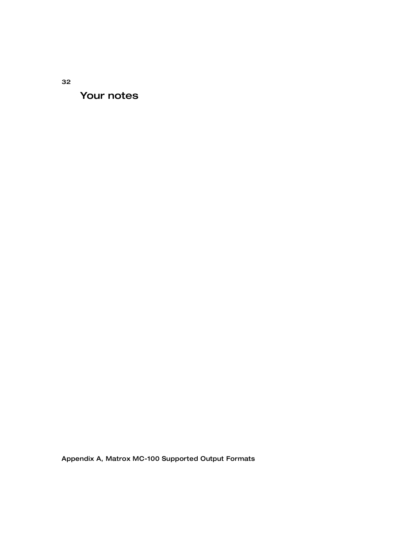Your notes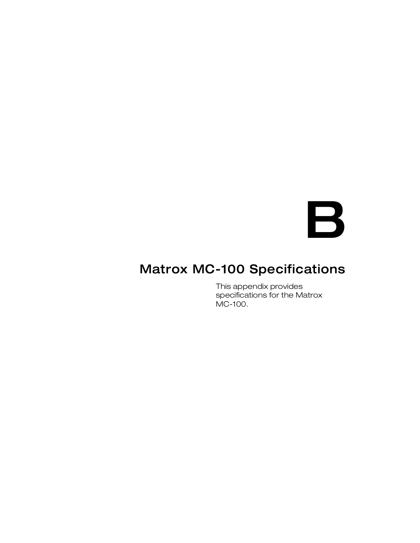

# <span id="page-40-1"></span><span id="page-40-0"></span>Matrox MC-100 Specifications

This appendix provides specifications for the Matrox MC-100.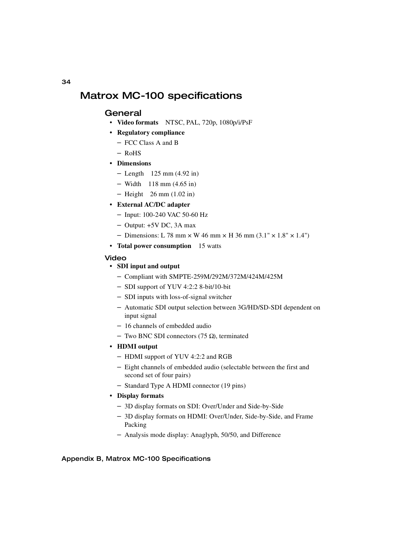## <span id="page-41-0"></span>Matrox MC-100 specifications

## <span id="page-41-7"></span><span id="page-41-1"></span>General

- <span id="page-41-6"></span>• **Video formats** NTSC, PAL, 720p, 1080p/i/PsF
- **Regulatory compliance**
	- FCC Class A and B
	- $-$  RoHS
- <span id="page-41-5"></span>**• Dimensions**
	- $-$  Length 125 mm (4.92 in)
	- $-$  Width 118 mm (4.65 in)
	- $-$  Height 26 mm (1.02 in)
- <span id="page-41-4"></span>**• External AC/DC adapter**
	- $-$  Input: 100-240 VAC 50-60 Hz
	- $-$  Output:  $+5V$  DC, 3A max
	- $-$  Dimensions: L 78 mm  $\times$  W 46 mm  $\times$  H 36 mm (3.1"  $\times$  1.8"  $\times$  1.4")
- **Total power consumption** 15 watts

#### Video

#### **• SDI input and output**

- <span id="page-41-8"></span>- Compliant with SMPTE-259M/292M/372M/424M/425M
- SDI support of YUV 4:2:2 8-bit/10-bit
- $-$  SDI inputs with loss-of-signal switcher
- Automatic SDI output selection between 3G/HD/SD-SDI dependent on input signal
- $-16$  channels of embedded audio
- <span id="page-41-3"></span> $-$  Two BNC SDI connectors (75 Ω), terminated

#### **• HDMI output**

- HDMI support of YUV 4:2:2 and RGB
- Eight channels of embedded audio (selectable between the first and second set of four pairs)
- <span id="page-41-2"></span>- Standard Type A HDMI connector (19 pins)
- **Display formats**
	- 3D display formats on SDI: Over/Under and Side-by-Side
	- 3D display formats on HDMI: Over/Under, Side-by-Side, and Frame Packing
	- Analysis mode display: Anaglyph, 50/50, and Difference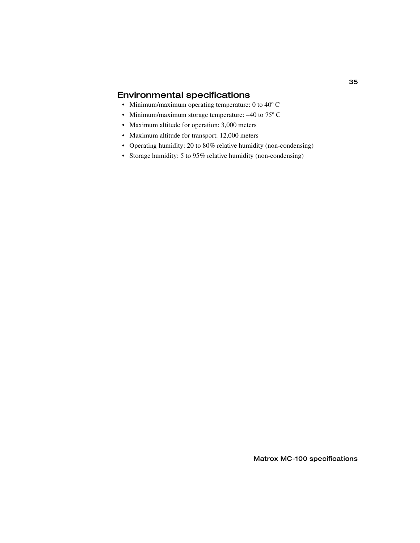## <span id="page-42-0"></span>Environmental specifications

- <span id="page-42-1"></span>• Minimum/maximum operating temperature: 0 to 40º C
- Minimum/maximum storage temperature: -40 to 75° C
- Maximum altitude for operation: 3,000 meters
- Maximum altitude for transport: 12,000 meters
- Operating humidity: 20 to 80% relative humidity (non-condensing)
- Storage humidity: 5 to 95% relative humidity (non-condensing)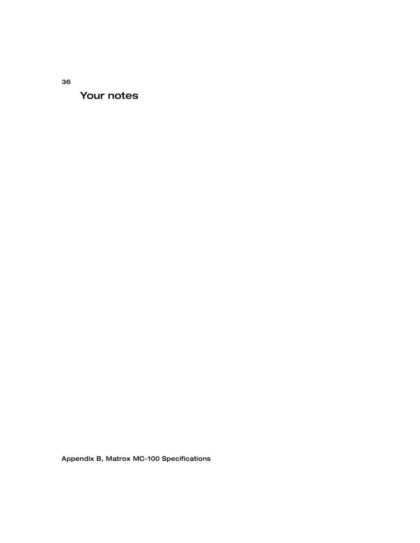Your notes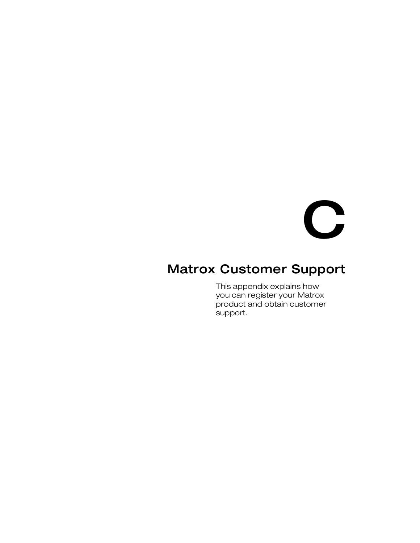

## <span id="page-44-1"></span><span id="page-44-0"></span>Matrox Customer Support

This appendix explains how you can register your Matrox product and obtain customer support.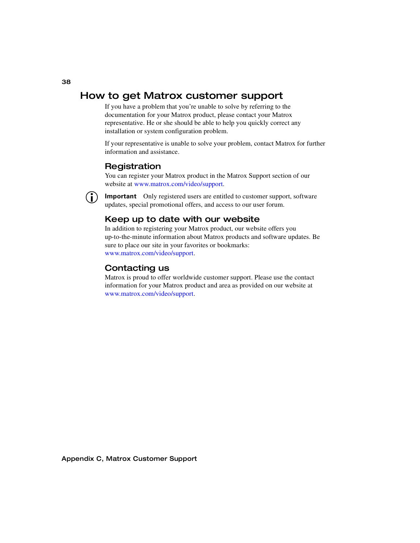## <span id="page-45-0"></span>How to get Matrox customer support

<span id="page-45-4"></span>If you have a problem that you're unable to solve by referring to the documentation for your Matrox product, please contact your Matrox representative. He or she should be able to help you quickly correct any installation or system configuration problem.

If your representative is unable to solve your problem, contact Matrox for further information and assistance.

## <span id="page-45-7"></span><span id="page-45-1"></span>**Registration**

You can register your Matrox product in the Matrox Support section of our website at [www.matrox.com/video/support.](http://www.matrox.com/video/support)

**Important** Only registered users are entitled to customer support, software updates, special promotional offers, and access to our user forum.

## <span id="page-45-5"></span><span id="page-45-2"></span>Keep up to date with our website

In addition to registering your Matrox product, our website offers you up-to-the-minute information about Matrox products and software updates. Be sure to place our site in your favorites or bookmarks: [www.matrox.com/video/support](http://www.matrox.com/video/support).

## <span id="page-45-6"></span><span id="page-45-3"></span>Contacting us

Matrox is proud to offer worldwide customer support. Please use the contact information for your Matrox product and area as provided on our website at <www.matrox.com/video/support>.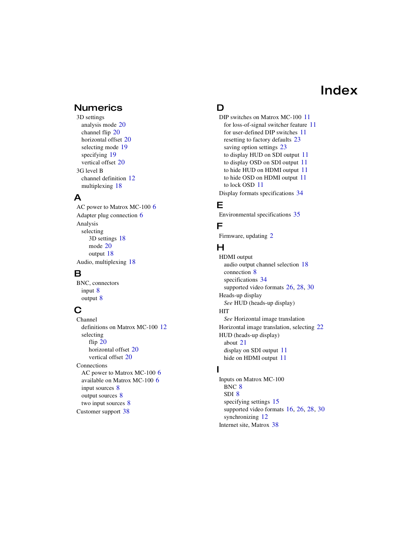# Index

## <span id="page-46-0"></span>**Numerics**

3D settings analysis mode [20](#page-27-0) channel flip [20](#page-27-1) horizontal offset [20](#page-27-2) selecting mode [19](#page-26-1) specifying [19](#page-26-2) vertical offset [20](#page-27-3) 3G level B channel definition [12](#page-19-3) multiplexing [18](#page-25-0)

## A

AC power to Matrox MC-100 [6](#page-13-6) Adapter plug connection [6](#page-13-7) Analysis selecting 3D settings [18](#page-25-1) mode [20](#page-27-0) output [18](#page-25-2) Audio, multiplexing [18](#page-25-3)

## B

BNC, connectors input [8](#page-15-2) output [8](#page-15-2)

## C

Channel definitions on Matrox MC-100 [12](#page-19-3) selecting flip [20](#page-27-1) horizontal offset [20](#page-27-2) vertical offset [20](#page-27-3) Connections AC power to Matrox MC-100 [6](#page-13-6) available on Matrox MC-100 [6](#page-13-8) input sources [8](#page-15-2) output sources [8](#page-15-2) two input sources [8](#page-15-3) Customer support [38](#page-45-4)

## D

DIP switches on Matrox MC-100 [11](#page-18-2) for loss-of-signal switcher feature [11](#page-18-3) for user-defined DIP switches [11](#page-18-4) resetting to factory defaults [23](#page-30-2) saving option settings [23](#page-30-3) to display HUD on SDI output [11](#page-18-5) to display OSD on SDI output [11](#page-18-5) to hide HUD on HDMI output [11](#page-18-6) to hide OSD on HDMI output [11](#page-18-6) to lock OSD [11](#page-18-7) Display formats specifications [34](#page-41-2)

## E

Environmental specifications [35](#page-42-1)

### F

Firmware, updating [2](#page-9-4)

## H

HDMI output audio output channel selection [18](#page-25-4) connection [8](#page-15-2) specifications [34](#page-41-3) supported video formats [26](#page-33-1), [28,](#page-35-1) [30](#page-37-1) Heads-up display *[See](#page-18-8)* HUD (heads-up display) **HIT** *[See](#page-29-0)* Horizontal image translation Horizontal image translation, selecting [22](#page-29-0) HUD (heads-up display) about [21](#page-28-1) display on SDI output [11](#page-18-9) hide on HDMI output [11](#page-18-10)

## I

Inputs on Matrox MC-100 BNC [8](#page-15-4) SDI [8](#page-15-4) specifying settings [15](#page-22-1) supported video formats [16](#page-23-2), [26,](#page-33-2) [28](#page-35-2), [30](#page-37-2) synchronizing [12](#page-19-4) Internet site, Matrox [38](#page-45-5)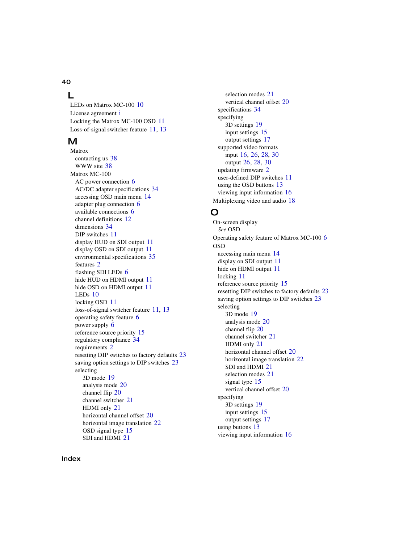#### 40

## L

LEDs on Matrox MC-100 [10](#page-17-2) L[i](#page-2-0)cense agreement i Locking the Matrox MC-100 OSD [11](#page-18-7) Loss-of-signal switcher feature [11,](#page-18-3) [13](#page-20-3)

## M

Matrox contacting us [38](#page-45-6) WWW site [38](#page-45-5) Matrox MC-100 AC power connection [6](#page-13-6) AC/DC adapter specifications [34](#page-41-4) accessing OSD main menu [14](#page-21-1) adapter plug connection [6](#page-13-7) available connections [6](#page-13-8) channel definitions [12](#page-19-3) dimensions [34](#page-41-5) DIP switches [11](#page-18-2) display HUD on SDI output [11](#page-18-9) display OSD on SDI output [11](#page-18-9) environmental specifications [35](#page-42-1) features [2](#page-9-5) flashing SDI LEDs [6](#page-13-9) hide HUD on HDMI output [11](#page-18-10) hide OSD on HDMI output [11](#page-18-10) LEDs [10](#page-17-2) locking OSD [11](#page-18-7) loss-of-signal switcher feature [11,](#page-18-3) [13](#page-20-3) operating safety feature [6](#page-13-9) power supply [6](#page-13-7) reference source priority [15](#page-22-2) regulatory compliance [34](#page-41-6) requirements [2](#page-9-6) resetting DIP switches to factory defaults [23](#page-30-2) saving option settings to DIP switches [23](#page-30-3) selecting 3D mode [19](#page-26-1) analysis mode [20](#page-27-0) channel flip [20](#page-27-1) channel switcher [21](#page-28-2) HDMI only [21](#page-28-3) horizontal channel offset [20](#page-27-2) horizontal image translation [22](#page-29-1) OSD signal type [15](#page-22-3) SDI and HDMI [21](#page-28-4)

selection modes [21](#page-28-1) vertical channel offset [20](#page-27-3) specifications [34](#page-41-7) specifying 3D settings [19](#page-26-2) input settings [15](#page-22-1) output settings [17](#page-24-3) supported video formats input [16](#page-23-2), [26,](#page-33-2) [28,](#page-35-2) [30](#page-37-2) output [26,](#page-33-1) [28](#page-35-1), [30](#page-37-1) updating firmware [2](#page-9-4) user-defined DIP switches [11](#page-18-4) using the OSD buttons [13](#page-20-4) viewing input information [16](#page-23-3) Multiplexing video and audio [18](#page-25-3)

## O

On-screen display *[See](#page-17-3)* OSD Operating safety feature of Matrox MC-100 [6](#page-13-9) OSD accessing main menu [14](#page-21-1) display on SDI output [11](#page-18-9) hide on HDMI output [11](#page-18-10) locking [11](#page-18-7) reference source priority [15](#page-22-2) resetting DIP switches to factory defaults [23](#page-30-2) saving option settings to DIP switches [23](#page-30-3) selecting 3D mode [19](#page-26-1) analysis mode [20](#page-27-0) channel flip [20](#page-27-1) channel switcher [21](#page-28-2) HDMI only [21](#page-28-3) horizontal channel offset [20](#page-27-2) horizontal image translation [22](#page-29-1) SDI and HDMI [21](#page-28-4) selection modes [21](#page-28-1) signal type [15](#page-22-3) vertical channel offset [20](#page-27-3) specifying 3D settings [19](#page-26-2) input settings [15](#page-22-1) output settings [17](#page-24-3) using buttons [13](#page-20-4) viewing input information [16](#page-23-3)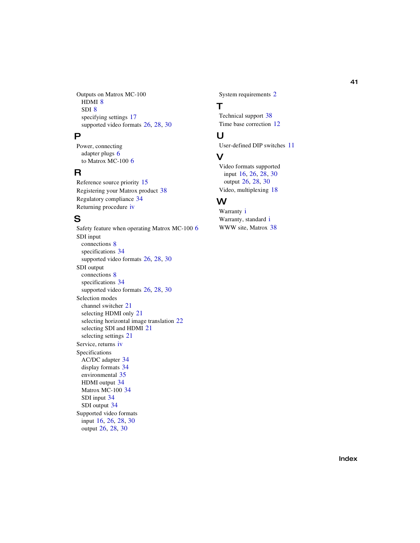Outputs on Matrox MC-100 HDMI [8](#page-15-4) SDI [8](#page-15-4) specifying settings [17](#page-24-3) supported video formats [26](#page-33-1), [28,](#page-35-1) [30](#page-37-1)

### P

Power, connecting adapter plugs [6](#page-13-7) to Matrox MC-100 [6](#page-13-6)

## R

Reference source priority [15](#page-22-2) Registering your Matrox product [38](#page-45-7) Regulatory compliance [34](#page-41-6) Returning procedure [iv](#page-5-0)

## S

Safety feature when operating Matrox MC-100 [6](#page-13-9) SDI input connections [8](#page-15-2) specifications [34](#page-41-8) supported video formats [26](#page-33-3), [28,](#page-35-3) [30](#page-37-3) SDI output connections [8](#page-15-2) specifications [34](#page-41-8) supported video formats [26](#page-33-3), [28,](#page-35-3) [30](#page-37-3) Selection modes channel switcher [21](#page-28-2) selecting HDMI only [21](#page-28-3) selecting horizontal image translation [22](#page-29-1) selecting SDI and HDMI [21](#page-28-4) selecting settings [21](#page-28-1) Service, returns [iv](#page-5-0) Specifications AC/DC adapter [34](#page-41-4) display formats [34](#page-41-2) environmental [35](#page-42-1) HDMI output [34](#page-41-3) Matrox MC-100 [34](#page-41-7) SDI input [34](#page-41-8) SDI output [34](#page-41-8) Supported video formats input [16](#page-23-2), [26,](#page-33-2) [28](#page-35-2), [30](#page-37-2) output [26](#page-33-1), [28](#page-35-1), [30](#page-37-1)

System requirements [2](#page-9-6)

## T

Technical support [38](#page-45-4) Time base correction [12](#page-19-4)

## U

User-defined DIP switches [11](#page-18-4)

## V

Video formats supported input [16,](#page-23-2) [26,](#page-33-2) [28](#page-35-2), [30](#page-37-2) output [26,](#page-33-1) [28](#page-35-1), [30](#page-37-1) Video, multiplexing [18](#page-25-3)

## W

Warranty [i](#page-2-0) Warranty, standard [i](#page-2-1) WWW site, Matrox [38](#page-45-5)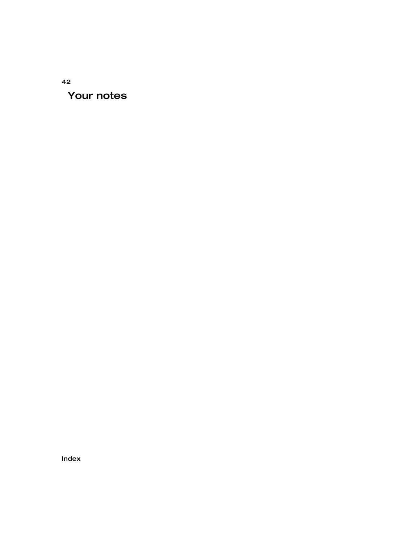## 42 Your notes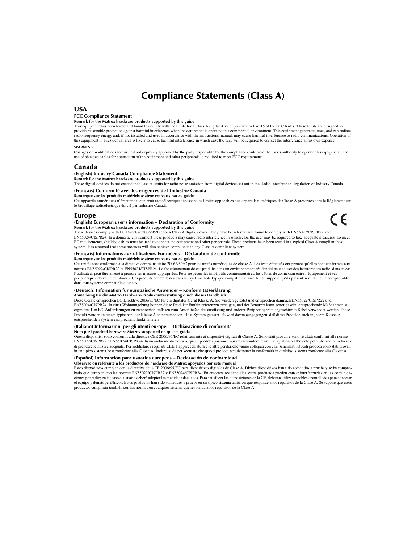## Compliance Statements (Class A)

#### USA

#### **FCC Compliance Statement**

#### **Remark for the Matrox hardware products supported by this guide**

This equipment has been tested and found to comply with the limits for a Class A digital device, pursuant to Part 15 of the FCC Rules. These limits are designed to provide reasonable protection against harmful interference when the equipment is operated in a commercial environment. This equipment generates, uses, and can radiate radio frequency energy and, if not installed and used in accordance with the instructions manual, may cause harmful interference to radio communications. Operation of this equipment in a residential area is likely to cause harmful interference in which case the user will be required to correct the interference at his own expense.

#### **WARNING**

Changes or modifications to this unit not expressly approved by the party responsible for the compliance could void the user's authority to operate this equipment. The use of shielded cables for connection of the equipment and other peripherals is required to meet FCC requirements.

#### Canada

#### **(English) Industry Canada Compliance Statement**

**Remark for the Matrox hardware products supported by this guide**

These digital devices do not exceed the Class A limits for radio noise emission from digital devices set out in the Radio Interference Regulation of Industry Canada.

#### **(Français) Conformité avec les exigences de l'Industrie Canada**

**Remarque sur les produits matériels Matrox couverts par ce guide**

Ces appareils numériques n'émettent aucun bruit radioélectrique dépassant les limites applicables aux appareils numériques de Classe A prescrites dans le Règlement sur le brouillage radioélectrique édicté par Industrie Canada.

 $\epsilon$ 

#### Europe

#### **(English) European user's information – Declaration of Conformity Remark for the Matrox hardware products supported by this guide**

These devices comply with EC Directive 2006/95/EC for a Class A digital device. They have been tested and found to comply with EN55022/CISPR22 and EN55024/CISPR24. In a domestic environment these products may cause radio interference in which case the user may be required to take adequate measures. To meet EC requirements, shielded cables must be used to connect the equipment and other peripherals. These products have been tested in a typical Class A compliant host system. It is assumed that these products will also achieve compliance in any Class A compliant system.

#### **(Français) Informations aux utilisateurs Européens – Déclaration de conformité**

**Remarque sur les produits matériels Matrox couverts par ce guide**

Ces unités sont conformes à la directive communautaire 2006/95/EC pour les unités numériques de classe A. Les tests effectués ont prouvé qu'elles sont conformes aux normes EN55022/CISPR22 et EN55024/CISPR24. Le fonctionnement de ces produits dans un environnement résidentiel peut causer des interférences radio, dans ce cas l'utilisateur peut être amené à prendre les mesures appropriées. Pour respecter les impératifs communautaires, les câbles de connexion entre l'équipement et ses périphériques doivent être blindés. Ces produits ont été testés dans un système hôte typique compatible classe A. On suppose qu'ils présenteront la même compatibilité dans tout système compatible classe A.

#### **(Deutsch) Information für europäische Anwender – Konformitätserklärung**

#### **Anmerkung für die Matrox Hardware-Produktunterstützung durch dieses Handbuch**

Diese Geräte entsprechen EG Direktive 2006/95/EC für ein digitales Gerät Klasse A. Sie wurden getestet und entsprechen demnach EN55022/CISPR22 und EN55024/CISPR24. In einer Wohnumgebung können diese Produkte Funkinterferenzen erzeugen, und der Benutzer kann genötigt sein, entsprechende Maßnahmen zu ergreifen. Um EG-Anforderungen zu entsprechen, müssen zum Anschließen des ausrüstung und anderer Peripheriegeräte abgeschirmte Kabel verwendet werden. Diese Produkt wurden in einem typischen, der Klasse A entsprechenden, Host-System getestet. Es wird davon ausgegangen, daß diese Produkte auch in jedem Klasse A entsprechenden System entsprechend funktionieren.

#### **(Italiano) Informazioni per gli utenti europei – Dichiarazione di conformità**

#### **Nota per i prodotti hardware Matrox supportati da questa guida**

Questi dispositivi sono conformi alla direttiva CEE 2006/95/EC relativamente ai dispositivi digitali di Classe A. Sono stati provati e sono risultati conformi alle norme EN55022/CISPR22 e EN55024/CISPR24. In un ambiente domestico, questi prodotti possono causare radiointerferenze, nel qual caso all'utente potrebbe venire richiesto di prendere le misure adeguate. Per soddisfare i requisiti CEE, l'apparecchiatura e le altre periferiche vanno collegati con cavi schermati. Questi prodotti sono stati provati in un tipico sistema host conforme alla Classe A. Inoltre, si dà per scontato che questi prodotti acquisiranno la conformità in qualsiasi sistema conforme alla Classe A.

#### **(Español) Información para usuarios europeos – Declaración de conformidad Observación referente a los productos de hardware de Matrox apoyados por este manual**

Estos dispositivos cumplen con la directiva de la CE 2006/95/EC para dispositivos digitales de Clase A. Dichos dispositivos han sido sometidos a prueba y se ha comprobado que cumplen con las normas EN55022/CISPR22 y EN55024/CISPR24. En entornos residenciales, estos productos pueden causar interferencias en las comunicaciones por radio; en tal caso el usuario deberá adoptar las medidas adecuadas. Para satisfacer las disposiciones de la CE, deberán utilizarse cables apantallados para conectar el equipo y demás periféricos. Estos productos han sido sometidos a prueba en un típico sistema anfitrión que responde a los requisitos de la Clase A. Se supone que estos productos cumplirán también con las normas en cualquier sistema que responda a los requisitos de la Clase A.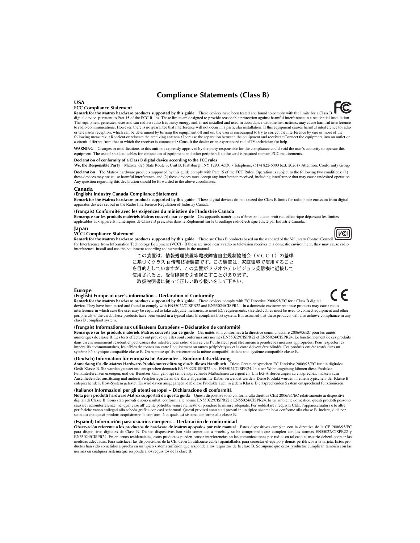### Compliance Statements (Class B)

#### USA

#### **FCC Compliance Statement**

**Remark for the Matrox hardware products supported by this guide** These devices have been tested and found to comply with the limits for a Class B digital device, pursuant to Part 15 of the FCC Rules. These limits are designed to provide reasonable protection against harmful interference in a residential installation. This equipment generates, uses and can radiate radio frequency energy and, if not installed and used in accordance with the instructions, may cause harmful interference to radio communications. However, there is no guarantee that interference will not occur in a particular installation. If this equipment causes harmful interference to radio or television reception, which can be determined by turning the equipment off and on, the user is encouraged to try to correct the interference by one or more of the following measures: • Reorient or relocate the receiving antenna • Increase the separation between the equipment and receiver • Connect the equipment into an outlet on a circuit different from that to which the receiver is connected • Consult the dealer or an experienced radio/TV technician for help.

**WARNING** Changes or modifications to this unit not expressly approved by the party responsible for the compliance could void the user's authority to operate this equipment. The use of shielded cables for connection of equipment and other peripherals to the card is required to meet FCC requirements.

#### **Declaration of conformity of a Class B digital device according to the FCC rules**

**We, the Responsible Party** Matrox, 625 State Route 3, Unit B, Plattsburgh, NY 12901-6530 • Telephone: (514) 822-6000 (ext. 2026) • Attention: Conformity Group

**Declaration** The Matrox hardware products supported by this guide comply with Part 15 of the FCC Rules. Operation is subject to the following two conditions: (1) these devices may not cause harmful interference, and (2) these devices must accept any interference received, including interference that may cause undesired operation. Any question regarding this declaration should be forwarded to the above coordinates.

#### Canada

#### **(English) Industry Canada Compliance Statement**

**Remark for the Matrox hardware products supported by this guide** These digital devices do not exceed the Class B limits for radio noise emission from digital apparatus devices set out in the Radio Interference Regulation of Industry Canada.

#### **(Français) Conformité avec les exigences du ministère de l'Industrie Canada**

**Remarque sur les produits matériels Matrox couverts par ce guide** Ces appareils numériques n'émettent aucun bruit radioélectrique dépassant les limites applicables aux appareils numériques de Classe B prescrites dans le Règlement sur le brouillage radioélectrique édicté par Industrie Canada.

#### Japan

#### **VCCI Compliance Statement**

**Remark for the Matrox hardware products supported by this guide** These are Class B products based on the standard of the Voluntary Control Council for Interference from Information Technology Equipment (VCCI). If these are used near a radio or television receiver in a domestic environment, they may cause radio interference. Install and use the equipment according to instructions in the manual.

> この装置は、情報処理装置等電波障害自主規制協議会(VCCI)の基準 に基づくクラスB情報技術装置です。この装置は、家庭環境で使用すること を目的としていますが、この装置がラジオやテレビジョン受信機に近接して 使用されると、受信障害を引き起こすことがあります。 取扱説明書に従って正しい取り扱いをして下さい。

#### Europe

#### **(English) European user's information – Declaration of Conformity**

**Remark for the Matrox hardware products supported by this guide** These devices comply with EC Directive 2006/95/EC for a Class B digital device. They have been tested and found to comply with EN55022/CISPR22 and EN55024/CISPR24. In a domestic environment these products may cause radio interference in which case the user may be required to take adequate measures.To meet EC requirements, shielded cables must be used to connect equipment and other peripherals to the card. These products have been tested in a typical class B compliant host system. It is assumed that these products will also achieve compliance in any class B compliant system.

#### **(Français) Informations aux utilisateurs Européens – Déclaration de conformité**

**Remarque sur les produits matériels Matrox couverts par ce guide** Ces unités sont conformes à la directive communautaire 2006/95/EC pour les unités numériques de classe B. Les tests effectués ont prouvé qu'elles sont conformes aux normes EN55022/CISPR22 et EN55024/CISPR24. Le fonctionnement de ces produits dans un environnement résidentiel peut causer des interférences radio, dans ce cas l'utilisateur peut être amené à prendre les mesures appropriées. Pour respecter les impératifs communautaires, les câbles de connexion entre l'équipement ou autres périphériques et la carte doivent être blindés. Ces produits ont été testés dans un système hôte typique compatible classe B. On suppose qu'ils présenteront la même compatibilité dans tout système compatible classe B.

#### **(Deutsch) Information für europäische Anwender – Konformitätserklärung**

**Anmerkung für die Matrox Hardware-Produktunterstützung durch dieses Handbuch** Diese Geräte entsprechen EC Direktive 2006/95/EC für ein digitales Gerät Klasse B. Sie wurden getestet und entsprechen demnach EN55022/CISPR22 und EN55024/CISPR24. In einer Wohnumgebung können diese Produkte Funkinterferenzen erzeugen, und der Benutzer kann genötigt sein, entsprechende Maßnahmen zu ergreifen. Um EG-Anforderungen zu entsprechen, müssen zum Anschließen des ausrüstung und anderer Peripheriegeräte an die Karte abgeschirmte Kabel verwendet werden. Diese Produkt wurden in einem typischen, der Klasse B entsprechenden, Host-System getestet. Es wird davon ausgegangen, daß diese Produkte auch in jedem Klasse B entsprechenden System entsprechend funktionieren.

#### **(Italiano) Informazioni per gli utenti europei – Dichiarazione di conformità**

**Nota per i prodotti hardware Matrox supportati da questa guida** Questi dispositivi sono conformi alla direttiva CEE 2006/95/EC relativamente ai dispositivi digitali di Classe B. Sono stati provati e sono risultati conformi alle norme EN55022/CISPR22 e EN55024/CISPR24. In un ambiente domestico, questi prodotti possono causare radiointerferenze, nel qual caso all'utente potrebbe venire richiesto di prendere le misure adeguate. Per soddisfare i requisiti CEE, l'apparecchiatura e le altre periferiche vanno collegati alla scheda grafica con cavi schermati. Questi prodotti sono stati provati in un tipico sistema host conforme alla classe B. Inoltre, si dà per scontato che questi prodotti acquisiranno la conformità in qualsiasi sistema conforme alla classe B.

#### **(Español) Información para usuarios europeos – Declaración de conformidad**

**Observación referente a los productos de hardware de Matrox apoyados por este manual** Estos dispositivos cumplen con la directiva de la CE 2006/95/EC para dispositivos digitales de Clase B. Dichos dispositivos han sido sometidos a prueba y se ha comprobado que cumplen con las normas EN55022/CISPR22 y EN55024/CISPR24. En entornos residenciales, estos productos pueden causar interferencias en las comunicaciones por radio; en tal caso el usuario deberá adoptar las medidas adecuadas. Para satisfacer las disposiciones de la CE, deberán utilizarse cables apantallados para conectar el equipo y demás periféricos a la tarjeta. Estos productos han sido sometidos a prueba en un típico sistema anfitrión que responde a los requisitos de la clase B. Se supone que estos productos cumplirán también con las normas en cualquier sistema que responda a los requisitos de la clase B.